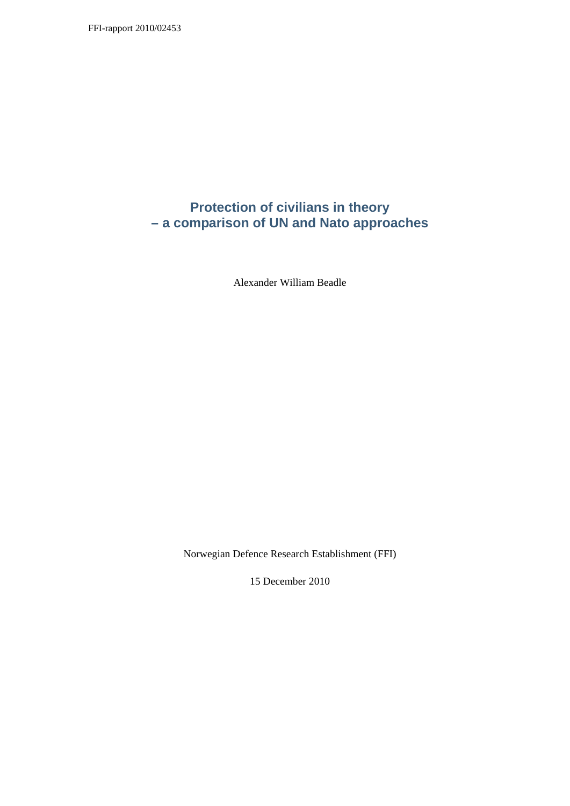# **Protection of civilians in theory – a comparison of UN and Nato approaches**

Alexander William Beadle

Norwegian Defence Research Establishment (FFI)

15 December 2010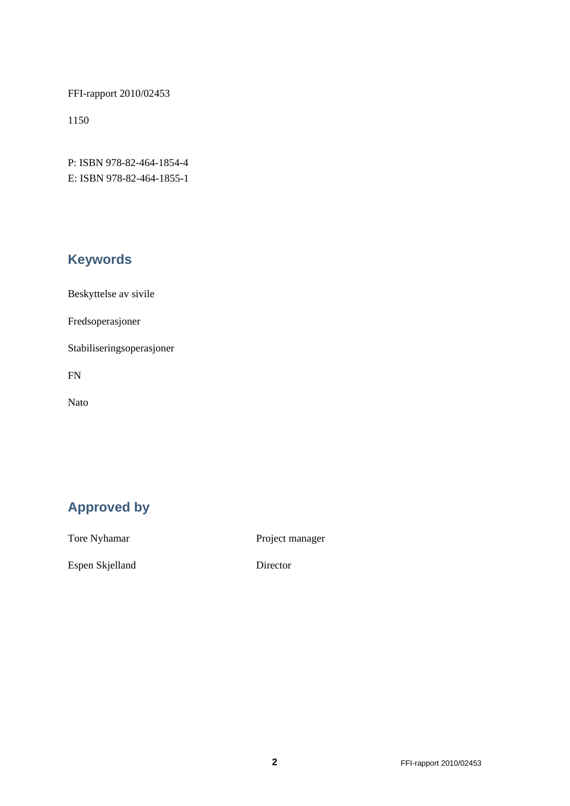FFI-rapport 2010/02453

1150

P: ISBN 978-82-464-1854-4 E: ISBN 978-82-464-1855-1

# **Keywords**

Beskyttelse av sivile

Fredsoperasjoner

Stabiliseringsoperasjoner

FN

Nato

# **Approved by**

Tore Nyhamar Project manager

Espen Skjelland Director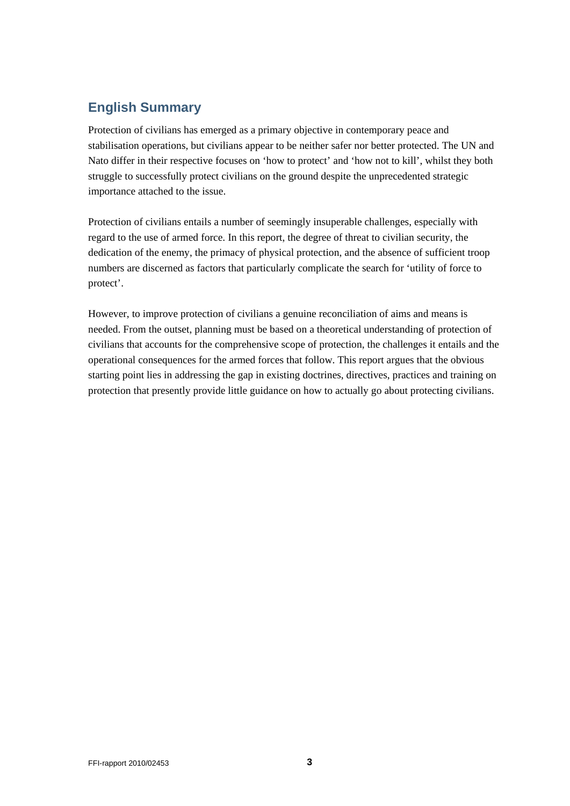# <span id="page-2-0"></span>**English Summary**

Protection of civilians has emerged as a primary objective in contemporary peace and stabilisation operations, but civilians appear to be neither safer nor better protected. The UN and Nato differ in their respective focuses on 'how to protect' and 'how not to kill', whilst they both struggle to successfully protect civilians on the ground despite the unprecedented strategic importance attached to the issue.

Protection of civilians entails a number of seemingly insuperable challenges, especially with regard to the use of armed force. In this report, the degree of threat to civilian security, the dedication of the enemy, the primacy of physical protection, and the absence of sufficient troop numbers are discerned as factors that particularly complicate the search for 'utility of force to protect'.

However, to improve protection of civilians a genuine reconciliation of aims and means is needed. From the outset, planning must be based on a theoretical understanding of protection of civilians that accounts for the comprehensive scope of protection, the challenges it entails and the operational consequences for the armed forces that follow. This report argues that the obvious starting point lies in addressing the gap in existing doctrines, directives, practices and training on protection that presently provide little guidance on how to actually go about protecting civilians.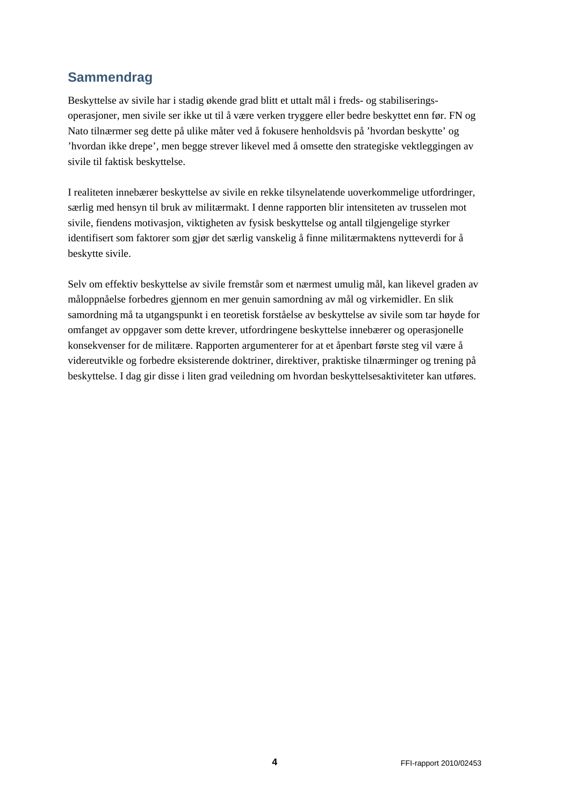# **Sammendrag**

Beskyttelse av sivile har i stadig økende grad blitt et uttalt mål i freds- og stabiliseringsoperasjoner, men sivile ser ikke ut til å være verken tryggere eller bedre beskyttet enn før. FN og Nato tilnærmer seg dette på ulike måter ved å fokusere henholdsvis på 'hvordan beskytte' og 'hvordan ikke drepe', men begge strever likevel med å omsette den strategiske vektleggingen av sivile til faktisk beskyttelse.

I realiteten innebærer beskyttelse av sivile en rekke tilsynelatende uoverkommelige utfordringer, særlig med hensyn til bruk av militærmakt. I denne rapporten blir intensiteten av trusselen mot sivile, fiendens motivasjon, viktigheten av fysisk beskyttelse og antall tilgjengelige styrker identifisert som faktorer som gjør det særlig vanskelig å finne militærmaktens nytteverdi for å beskytte sivile.

Selv om effektiv beskyttelse av sivile fremstår som et nærmest umulig mål, kan likevel graden av måloppnåelse forbedres gjennom en mer genuin samordning av mål og virkemidler. En slik samordning må ta utgangspunkt i en teoretisk forståelse av beskyttelse av sivile som tar høyde for omfanget av oppgaver som dette krever, utfordringene beskyttelse innebærer og operasjonelle konsekvenser for de militære. Rapporten argumenterer for at et åpenbart første steg vil være å videreutvikle og forbedre eksisterende doktriner, direktiver, praktiske tilnærminger og trening på beskyttelse. I dag gir disse i liten grad veiledning om hvordan beskyttelsesaktiviteter kan utføres.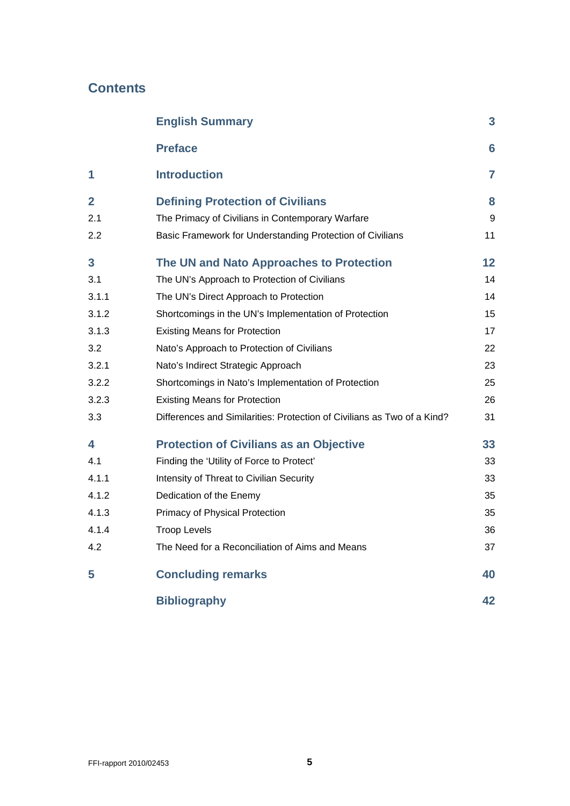# **Contents**

|                | <b>English Summary</b>                                                  | 3               |
|----------------|-------------------------------------------------------------------------|-----------------|
|                | <b>Preface</b>                                                          | $6\phantom{1}6$ |
| 1              | <b>Introduction</b>                                                     | $\overline{7}$  |
| $\overline{2}$ | <b>Defining Protection of Civilians</b>                                 | 8               |
| 2.1            | The Primacy of Civilians in Contemporary Warfare                        | 9               |
| 2.2            | Basic Framework for Understanding Protection of Civilians               | 11              |
| 3              | The UN and Nato Approaches to Protection                                | 12              |
| 3.1            | The UN's Approach to Protection of Civilians                            | 14              |
| 3.1.1          | The UN's Direct Approach to Protection                                  | 14              |
| 3.1.2          | Shortcomings in the UN's Implementation of Protection                   | 15              |
| 3.1.3          | <b>Existing Means for Protection</b>                                    | 17              |
| 3.2            | Nato's Approach to Protection of Civilians                              | 22              |
| 3.2.1          | Nato's Indirect Strategic Approach                                      | 23              |
| 3.2.2          | Shortcomings in Nato's Implementation of Protection                     | 25              |
| 3.2.3          | <b>Existing Means for Protection</b>                                    | 26              |
| 3.3            | Differences and Similarities: Protection of Civilians as Two of a Kind? | 31              |
| 4              | <b>Protection of Civilians as an Objective</b>                          | 33              |
| 4.1            | Finding the 'Utility of Force to Protect'                               | 33              |
| 4.1.1          | Intensity of Threat to Civilian Security                                | 33              |
| 4.1.2          | Dedication of the Enemy                                                 | 35              |
| 4.1.3          | Primacy of Physical Protection                                          | 35              |
| 4.1.4          | <b>Troop Levels</b>                                                     | 36              |
| 4.2            | The Need for a Reconciliation of Aims and Means                         | 37              |
| 5              | <b>Concluding remarks</b>                                               | 40              |
|                | <b>Bibliography</b>                                                     | 42              |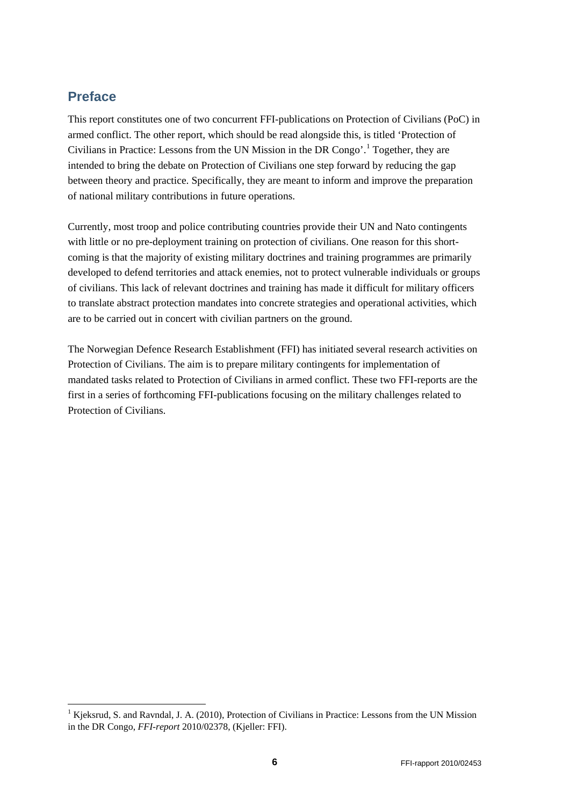## <span id="page-5-0"></span>**Preface**

This report constitutes one of two concurrent FFI-publications on Protection of Civilians (PoC) in armed conflict. The other report, which should be read alongside this, is titled 'Protection of Civilians in Practice: Lessons from the UN Mission in the DR Congo'.[1](#page-5-1) Together, they are intended to bring the debate on Protection of Civilians one step forward by reducing the gap between theory and practice. Specifically, they are meant to inform and improve the preparation of national military contributions in future operations.

Currently, most troop and police contributing countries provide their UN and Nato contingents with little or no pre-deployment training on protection of civilians. One reason for this shortcoming is that the majority of existing military doctrines and training programmes are primarily developed to defend territories and attack enemies, not to protect vulnerable individuals or groups of civilians. This lack of relevant doctrines and training has made it difficult for military officers to translate abstract protection mandates into concrete strategies and operational activities, which are to be carried out in concert with civilian partners on the ground.

The Norwegian Defence Research Establishment (FFI) has initiated several research activities on Protection of Civilians. The aim is to prepare military contingents for implementation of mandated tasks related to Protection of Civilians in armed conflict. These two FFI-reports are the first in a series of forthcoming FFI-publications focusing on the military challenges related to Protection of Civilians.

<span id="page-5-1"></span><sup>&</sup>lt;sup>1</sup> Kjeksrud, S. and Ravndal, J. A. (2010), Protection of Civilians in Practice: Lessons from the UN Mission in the DR Congo, *FFI-report* 2010/02378, (Kjeller: FFI).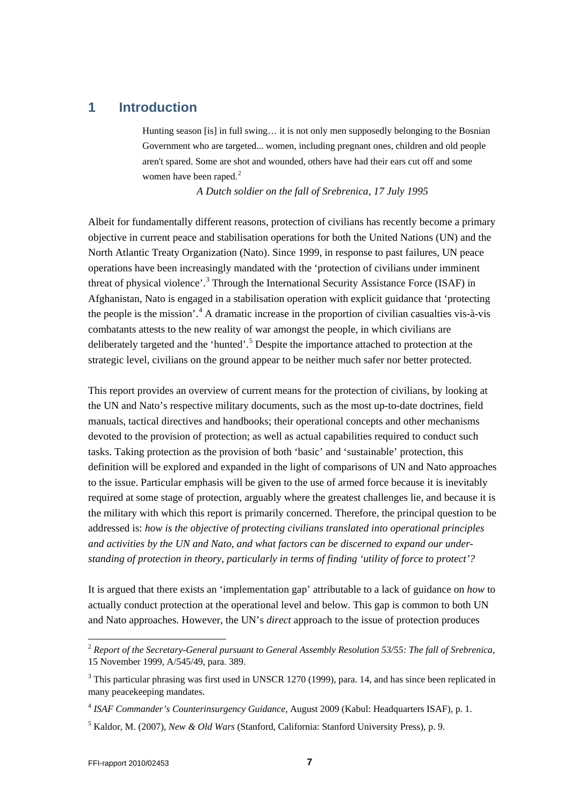## <span id="page-6-0"></span>**1 Introduction**

Hunting season [is] in full swing… it is not only men supposedly belonging to the Bosnian Government who are targeted... women, including pregnant ones, children and old people aren't spared. Some are shot and wounded, others have had their ears cut off and some women have been raped.<sup>[2](#page-6-1)</sup>

*A Dutch soldier on the fall of Srebrenica, 17 July 1995*

Albeit for fundamentally different reasons, protection of civilians has recently become a primary objective in current peace and stabilisation operations for both the United Nations (UN) and the North Atlantic Treaty Organization (Nato). Since 1999, in response to past failures, UN peace operations have been increasingly mandated with the 'protection of civilians under imminent threat of physical violence'.<sup>[3](#page-6-2)</sup> Through the International Security Assistance Force (ISAF) in Afghanistan, Nato is engaged in a stabilisation operation with explicit guidance that 'protecting the people is the mission'.<sup>[4](#page-6-3)</sup> A dramatic increase in the proportion of civilian casualties vis-à-vis combatants attests to the new reality of war amongst the people, in which civilians are deliberately targeted and the 'hunted'.<sup>[5](#page-6-4)</sup> Despite the importance attached to protection at the strategic level, civilians on the ground appear to be neither much safer nor better protected.

This report provides an overview of current means for the protection of civilians, by looking at the UN and Nato's respective military documents, such as the most up-to-date doctrines, field manuals, tactical directives and handbooks; their operational concepts and other mechanisms devoted to the provision of protection; as well as actual capabilities required to conduct such tasks. Taking protection as the provision of both 'basic' and 'sustainable' protection, this definition will be explored and expanded in the light of comparisons of UN and Nato approaches to the issue. Particular emphasis will be given to the use of armed force because it is inevitably required at some stage of protection, arguably where the greatest challenges lie, and because it is the military with which this report is primarily concerned. Therefore, the principal question to be addressed is: *how is the objective of protecting civilians translated into operational principles and activities by the UN and Nato, and what factors can be discerned to expand our understanding of protection in theory, particularly in terms of finding 'utility of force to protect'?*

It is argued that there exists an 'implementation gap' attributable to a lack of guidance on *how* to actually conduct protection at the operational level and below. This gap is common to both UN and Nato approaches. However, the UN's *direct* approach to the issue of protection produces

<span id="page-6-1"></span> <sup>2</sup> *Report of the Secretary-General pursuant to General Assembly Resolution 53/55: The fall of Srebrenica*, 15 November 1999, A/545/49, para. 389.

<span id="page-6-2"></span> $3$  This particular phrasing was first used in UNSCR 1270 (1999), para. 14, and has since been replicated in many peacekeeping mandates.

<span id="page-6-3"></span><sup>4</sup> *ISAF Commander's Counterinsurgency Guidance*, August 2009 (Kabul: Headquarters ISAF), p. 1.

<span id="page-6-4"></span><sup>5</sup> Kaldor, M. (2007), *New & Old Wars* (Stanford, California: Stanford University Press), p. 9.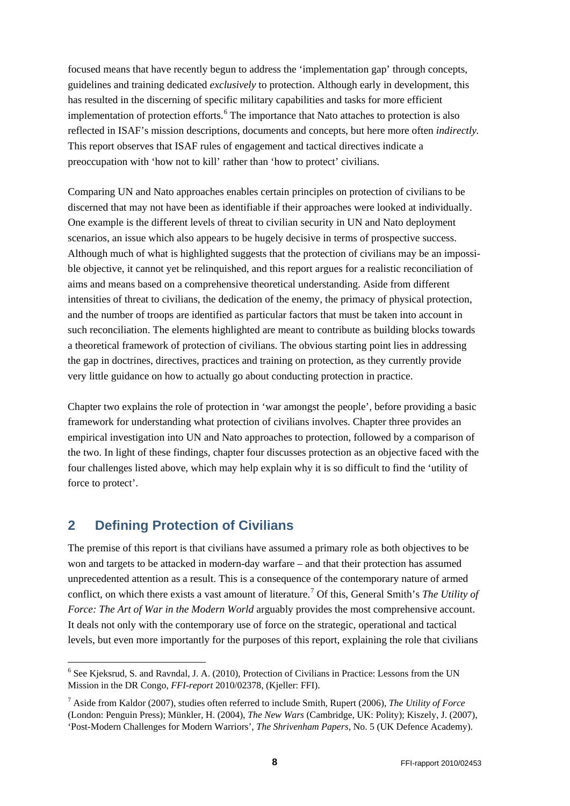focused means that have recently begun to address the 'implementation gap' through concepts, guidelines and training dedicated *exclusively* to protection. Although early in development, this has resulted in the discerning of specific military capabilities and tasks for more efficient implementation of protection efforts. [6](#page-7-1) The importance that Nato attaches to protection is also reflected in ISAF's mission descriptions, documents and concepts, but here more often *indirectly.* This report observes that ISAF rules of engagement and tactical directives indicate a preoccupation with 'how not to kill' rather than 'how to protect' civilians.

Comparing UN and Nato approaches enables certain principles on protection of civilians to be discerned that may not have been as identifiable if their approaches were looked at individually. One example is the different levels of threat to civilian security in UN and Nato deployment scenarios, an issue which also appears to be hugely decisive in terms of prospective success. Although much of what is highlighted suggests that the protection of civilians may be an impossible objective, it cannot yet be relinquished, and this report argues for a realistic reconciliation of aims and means based on a comprehensive theoretical understanding. Aside from different intensities of threat to civilians, the dedication of the enemy, the primacy of physical protection, and the number of troops are identified as particular factors that must be taken into account in such reconciliation. The elements highlighted are meant to contribute as building blocks towards a theoretical framework of protection of civilians. The obvious starting point lies in addressing the gap in doctrines, directives, practices and training on protection, as they currently provide very little guidance on how to actually go about conducting protection in practice.

Chapter two explains the role of protection in 'war amongst the people', before providing a basic framework for understanding what protection of civilians involves. Chapter three provides an empirical investigation into UN and Nato approaches to protection, followed by a comparison of the two. In light of these findings, chapter four discusses protection as an objective faced with the four challenges listed above, which may help explain why it is so difficult to find the 'utility of force to protect'.

# <span id="page-7-0"></span>**2 Defining Protection of Civilians**

The premise of this report is that civilians have assumed a primary role as both objectives to be won and targets to be attacked in modern-day warfare – and that their protection has assumed unprecedented attention as a result. This is a consequence of the contemporary nature of armed conflict, on which there exists a vast amount of literature.[7](#page-7-2) Of this, General Smith's *The Utility of Force: The Art of War in the Modern World* arguably provides the most comprehensive account. It deals not only with the contemporary use of force on the strategic, operational and tactical levels, but even more importantly for the purposes of this report, explaining the role that civilians

<span id="page-7-1"></span> <sup>6</sup> See Kjeksrud, S. and Ravndal, J. A. (2010), Protection of Civilians in Practice: Lessons from the UN Mission in the DR Congo, *FFI-report* 2010/02378, (Kjeller: FFI).

<span id="page-7-2"></span><sup>7</sup> Aside from Kaldor (2007), studies often referred to include Smith, Rupert (2006), *The Utility of Force* (London: Penguin Press); Münkler, H. (2004), *The New Wars* (Cambridge, UK: Polity); Kiszely, J. (2007), 'Post-Modern Challenges for Modern Warriors', *The Shrivenham Papers*, No. 5 (UK Defence Academy).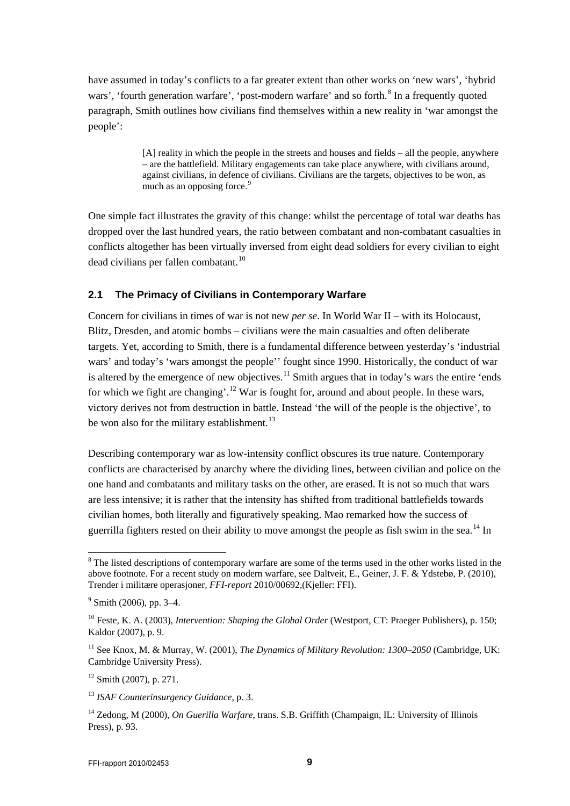have assumed in today's conflicts to a far greater extent than other works on 'new wars', 'hybrid wars', 'fourth generation warfare', 'post-modern warfare' and so forth.<sup>[8](#page-8-1)</sup> In a frequently quoted paragraph, Smith outlines how civilians find themselves within a new reality in 'war amongst the people':

> [A] reality in which the people in the streets and houses and fields – all the people, anywhere – are the battlefield. Military engagements can take place anywhere, with civilians around, against civilians, in defence of civilians. Civilians are the targets, objectives to be won, as much as an opposing force.<sup>[9](#page-8-2)</sup>

One simple fact illustrates the gravity of this change: whilst the percentage of total war deaths has dropped over the last hundred years, the ratio between combatant and non-combatant casualties in conflicts altogether has been virtually inversed from eight dead soldiers for every civilian to eight  $dead$  civilians per fallen combatant.<sup>[10](#page-8-3)</sup>

#### <span id="page-8-0"></span>**2.1 The Primacy of Civilians in Contemporary Warfare**

Concern for civilians in times of war is not new *per se*. In World War II – with its Holocaust, Blitz, Dresden, and atomic bombs – civilians were the main casualties and often deliberate targets. Yet, according to Smith, there is a fundamental difference between yesterday's 'industrial wars' and today's 'wars amongst the people'' fought since 1990. Historically, the conduct of war is altered by the emergence of new objectives.<sup>[11](#page-8-4)</sup> Smith argues that in today's wars the entire 'ends for which we fight are changing'.<sup>[12](#page-8-5)</sup> War is fought for, around and about people. In these wars, victory derives not from destruction in battle. Instead 'the will of the people is the objective', to be won also for the military establishment.<sup>[13](#page-8-6)</sup>

Describing contemporary war as low-intensity conflict obscures its true nature. Contemporary conflicts are characterised by anarchy where the dividing lines, between civilian and police on the one hand and combatants and military tasks on the other, are erased. It is not so much that wars are less intensive; it is rather that the intensity has shifted from traditional battlefields towards civilian homes, both literally and figuratively speaking. Mao remarked how the success of guerrilla fighters rested on their ability to move amongst the people as fish swim in the sea.<sup>[14](#page-8-7)</sup> In

<span id="page-8-5"></span> $12$  Smith (2007), p. 271.

<span id="page-8-6"></span><sup>13</sup> *ISAF Counterinsurgency Guidance*, p. 3.

<span id="page-8-1"></span><sup>&</sup>lt;sup>8</sup> The listed descriptions of contemporary warfare are some of the terms used in the other works listed in the above footnote. For a recent study on modern warfare, see Daltveit, E., Geiner, J. F. & Ydstebø, P. (2010), Trender i militære operasjoner*, FFI-report* 2010/00692*,*(Kjeller: FFI).

<span id="page-8-2"></span> $9$  Smith (2006), pp. 3–4.

<span id="page-8-3"></span><sup>&</sup>lt;sup>10</sup> Feste, K. A. (2003), *Intervention: Shaping the Global Order* (Westport, CT: Praeger Publishers), p. 150; Kaldor (2007), p. 9.

<span id="page-8-4"></span><sup>11</sup> See Knox, M. & Murray, W. (2001), *The Dynamics of Military Revolution: 1300–2050* (Cambridge, UK: Cambridge University Press).

<span id="page-8-7"></span><sup>14</sup> Zedong, M (2000), *On Guerilla Warfare*, trans. S.B. Griffith (Champaign, IL: University of Illinois Press), p. 93.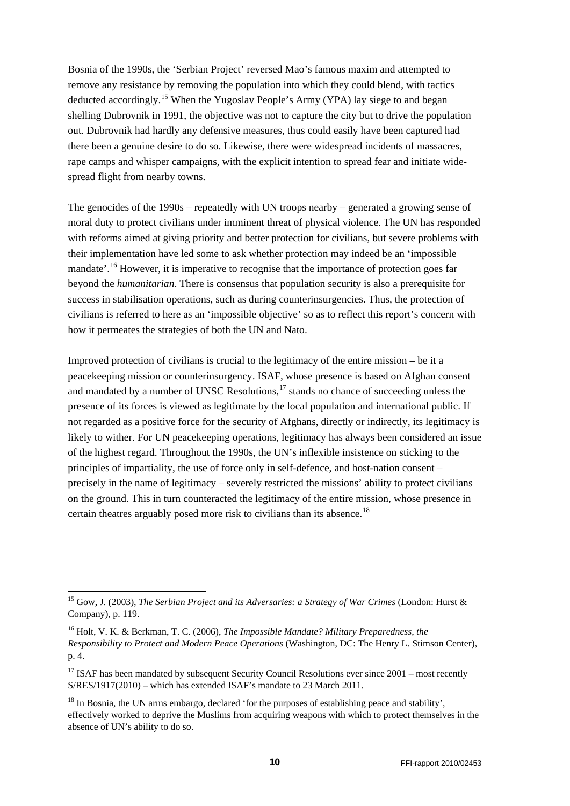Bosnia of the 1990s, the 'Serbian Project' reversed Mao's famous maxim and attempted to remove any resistance by removing the population into which they could blend, with tactics deducted accordingly.<sup>[15](#page-9-0)</sup> When the Yugoslav People's Army (YPA) lay siege to and began shelling Dubrovnik in 1991, the objective was not to capture the city but to drive the population out. Dubrovnik had hardly any defensive measures, thus could easily have been captured had there been a genuine desire to do so. Likewise, there were widespread incidents of massacres, rape camps and whisper campaigns, with the explicit intention to spread fear and initiate widespread flight from nearby towns.

The genocides of the 1990s – repeatedly with UN troops nearby – generated a growing sense of moral duty to protect civilians under imminent threat of physical violence. The UN has responded with reforms aimed at giving priority and better protection for civilians, but severe problems with their implementation have led some to ask whether protection may indeed be an 'impossible mandate'.<sup>[16](#page-9-1)</sup> However, it is imperative to recognise that the importance of protection goes far beyond the *humanitarian*. There is consensus that population security is also a prerequisite for success in stabilisation operations, such as during counterinsurgencies. Thus, the protection of civilians is referred to here as an 'impossible objective' so as to reflect this report's concern with how it permeates the strategies of both the UN and Nato.

Improved protection of civilians is crucial to the legitimacy of the entire mission – be it a peacekeeping mission or counterinsurgency. ISAF, whose presence is based on Afghan consent and mandated by a number of UNSC Resolutions, $17$  stands no chance of succeeding unless the presence of its forces is viewed as legitimate by the local population and international public. If not regarded as a positive force for the security of Afghans, directly or indirectly, its legitimacy is likely to wither. For UN peacekeeping operations, legitimacy has always been considered an issue of the highest regard. Throughout the 1990s, the UN's inflexible insistence on sticking to the principles of impartiality, the use of force only in self-defence, and host-nation consent – precisely in the name of legitimacy – severely restricted the missions' ability to protect civilians on the ground. This in turn counteracted the legitimacy of the entire mission, whose presence in certain theatres arguably posed more risk to civilians than its absence.<sup>[18](#page-9-3)</sup>

<span id="page-9-0"></span><sup>&</sup>lt;sup>15</sup> Gow. J. (2003). *The Serbian Project and its Adversaries: a Strategy of War Crimes* (London: Hurst & Company), p. 119.

<span id="page-9-1"></span><sup>16</sup> Holt, V. K. & Berkman, T. C. (2006), *The Impossible Mandate? Military Preparedness, the Responsibility to Protect and Modern Peace Operations* (Washington, DC: The Henry L. Stimson Center), p. 4.

<span id="page-9-2"></span> $17$  ISAF has been mandated by subsequent Security Council Resolutions ever since 2001 – most recently S/RES/1917(2010) – which has extended ISAF's mandate to 23 March 2011.

<span id="page-9-3"></span><sup>&</sup>lt;sup>18</sup> In Bosnia, the UN arms embargo, declared 'for the purposes of establishing peace and stability'. effectively worked to deprive the Muslims from acquiring weapons with which to protect themselves in the absence of UN's ability to do so.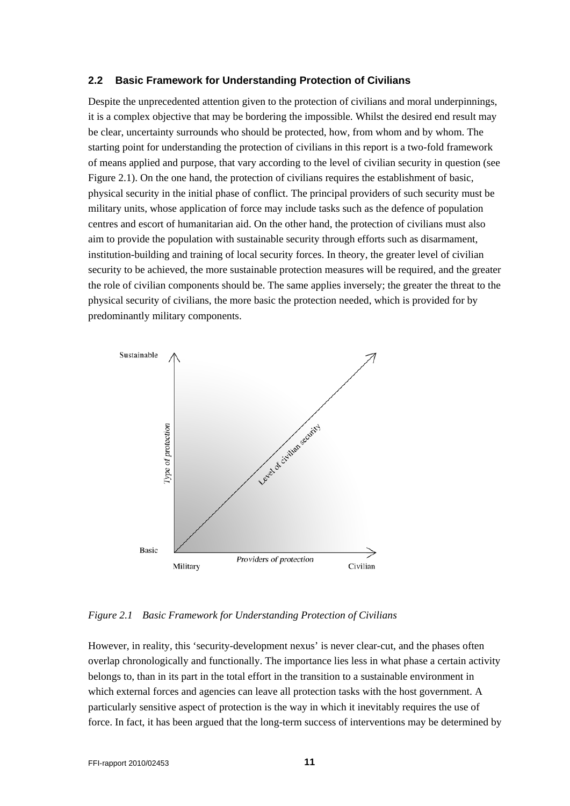#### <span id="page-10-0"></span>**2.2 Basic Framework for Understanding Protection of Civilians**

Despite the unprecedented attention given to the protection of civilians and moral underpinnings, it is a complex objective that may be bordering the impossible. Whilst the desired end result may be clear, uncertainty surrounds who should be protected, how, from whom and by whom. The starting point for understanding the protection of civilians in this report is a two-fold framework of means applied and purpose, that vary according to the level of civilian security in question (see Figure 2.1). On the one hand, the protection of civilians requires the establishment of basic, physical security in the initial phase of conflict. The principal providers of such security must be military units, whose application of force may include tasks such as the defence of population centres and escort of humanitarian aid. On the other hand, the protection of civilians must also aim to provide the population with sustainable security through efforts such as disarmament, institution-building and training of local security forces. In theory, the greater level of civilian security to be achieved, the more sustainable protection measures will be required, and the greater the role of civilian components should be. The same applies inversely; the greater the threat to the physical security of civilians, the more basic the protection needed, which is provided for by predominantly military components.



#### *Figure 2.1 Basic Framework for Understanding Protection of Civilians*

However, in reality, this 'security-development nexus' is never clear-cut, and the phases often overlap chronologically and functionally. The importance lies less in what phase a certain activity belongs to, than in its part in the total effort in the transition to a sustainable environment in which external forces and agencies can leave all protection tasks with the host government. A particularly sensitive aspect of protection is the way in which it inevitably requires the use of force. In fact, it has been argued that the long-term success of interventions may be determined by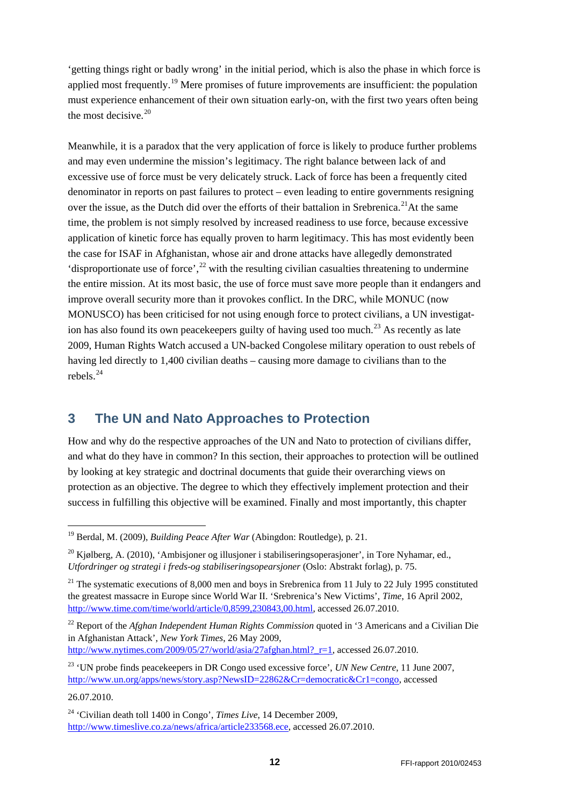'getting things right or badly wrong' in the initial period, which is also the phase in which force is applied most frequently.<sup>[19](#page-11-1)</sup> Mere promises of future improvements are insufficient: the population must experience enhancement of their own situation early-on, with the first two years often being the most decisive. $20$ 

Meanwhile, it is a paradox that the very application of force is likely to produce further problems and may even undermine the mission's legitimacy. The right balance between lack of and excessive use of force must be very delicately struck. Lack of force has been a frequently cited denominator in reports on past failures to protect – even leading to entire governments resigning over the issue, as the Dutch did over the efforts of their battalion in Srebrenica.<sup>[21](#page-11-3)</sup>At the same time, the problem is not simply resolved by increased readiness to use force, because excessive application of kinetic force has equally proven to harm legitimacy. This has most evidently been the case for ISAF in Afghanistan, whose air and drone attacks have allegedly demonstrated 'disproportionate use of force',  $^{22}$  $^{22}$  $^{22}$  with the resulting civilian casualties threatening to undermine the entire mission. At its most basic, the use of force must save more people than it endangers and improve overall security more than it provokes conflict. In the DRC, while MONUC (now MONUSCO) has been criticised for not using enough force to protect civilians, a UN investigat-ion has also found its own peace keepers guilty of having used too much.<sup>[23](#page-11-5)</sup> As recently as late 2009, Human Rights Watch accused a UN-backed Congolese military operation to oust rebels of having led directly to 1,400 civilian deaths – causing more damage to civilians than to the rebels.[24](#page-11-6)

# <span id="page-11-0"></span>**3 The UN and Nato Approaches to Protection**

How and why do the respective approaches of the UN and Nato to protection of civilians differ, and what do they have in common? In this section, their approaches to protection will be outlined by looking at key strategic and doctrinal documents that guide their overarching views on protection as an objective. The degree to which they effectively implement protection and their success in fulfilling this objective will be examined. Finally and most importantly, this chapter

<span id="page-11-4"></span><sup>22</sup> Report of the *Afghan Independent Human Rights Commission* quoted in '3 Americans and a Civilian Die in Afghanistan Attack', *New York Times*, 26 May 2009,

http://www.nytimes.com/2009/05/27/world/asia/27afghan.html? $r=1$ , accessed 26.07.2010.

<span id="page-11-1"></span> <sup>19</sup> Berdal, M. (2009), *Building Peace After War* (Abingdon: Routledge), p. 21.

<span id="page-11-2"></span><sup>&</sup>lt;sup>20</sup> Kjølberg, A. (2010), 'Ambisjoner og illusjoner i stabiliseringsoperasjoner', in Tore Nyhamar, ed., *Utfordringer og strategi i freds-og stabiliseringsopearsjoner* (Oslo: Abstrakt forlag), p. 75.

<span id="page-11-3"></span><sup>&</sup>lt;sup>21</sup> The systematic executions of 8,000 men and boys in Srebrenica from 11 July to 22 July 1995 constituted the greatest massacre in Europe since World War II. 'Srebrenica's New Victims', *Time*, 16 April 2002, [http://www.time.com/time/world/article/0,8599,230843,00.html,](http://www.time.com/time/world/article/0,8599,230843,00.html) accessed 26.07.2010.

<span id="page-11-5"></span><sup>&</sup>lt;sup>23</sup> 'UN probe finds peacekeepers in DR Congo used excessive force', *UN New Centre*, 11 June 2007, [http://www.un.org/apps/news/story.asp?NewsID=22862&Cr=democratic&Cr1=congo,](http://www.un.org/apps/news/story.asp?NewsID=22862&Cr=democratic&Cr1=congo) accessed

<sup>26.07.2010.</sup> 

<span id="page-11-6"></span><sup>24</sup> 'Civilian death toll 1400 in Congo', *Times Live*, 14 December 2009, [http://www.timeslive.co.za/news/africa/article233568.ece,](http://www.timeslive.co.za/news/africa/article233568.ece) accessed 26.07.2010.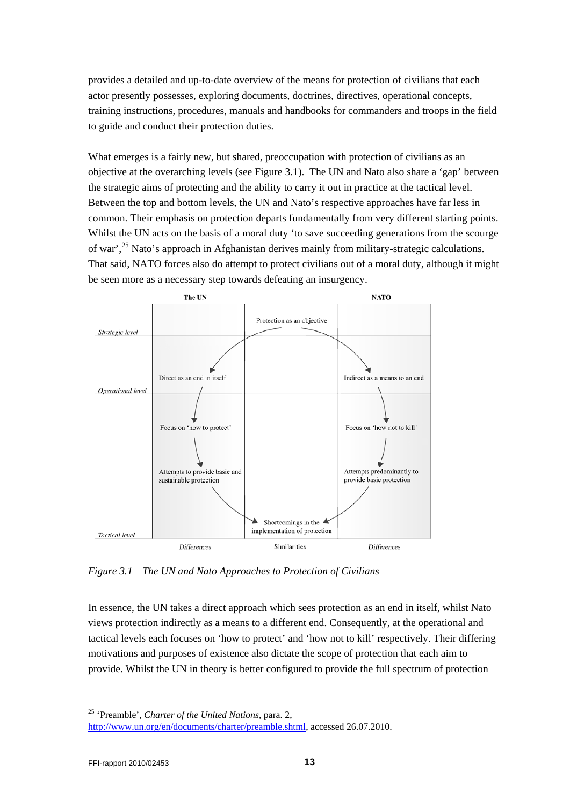provides a detailed and up-to-date overview of the means for protection of civilians that each actor presently possesses, exploring documents, doctrines, directives, operational concepts, training instructions, procedures, manuals and handbooks for commanders and troops in the field to guide and conduct their protection duties.

What emerges is a fairly new, but shared, preoccupation with protection of civilians as an objective at the overarching levels (see Figure 3.1). The UN and Nato also share a 'gap' between the strategic aims of protecting and the ability to carry it out in practice at the tactical level. Between the top and bottom levels, the UN and Nato's respective approaches have far less in common. Their emphasis on protection departs fundamentally from very different starting points. Whilst the UN acts on the basis of a moral duty 'to save succeeding generations from the scourge of war',[25](#page-12-0) Nato's approach in Afghanistan derives mainly from military-strategic calculations. That said, NATO forces also do attempt to protect civilians out of a moral duty, although it might be seen more as a necessary step towards defeating an insurgency.



*Figure 3.1 The UN and Nato Approaches to Protection of Civilians*

In essence, the UN takes a direct approach which sees protection as an end in itself, whilst Nato views protection indirectly as a means to a different end. Consequently, at the operational and tactical levels each focuses on 'how to protect' and 'how not to kill' respectively. Their differing motivations and purposes of existence also dictate the scope of protection that each aim to provide. Whilst the UN in theory is better configured to provide the full spectrum of protection

<span id="page-12-0"></span>25 'Preamble', *Charter of the United Nations*, para. 2,

[http://www.un.org/en/documents/charter/preamble.shtml,](http://www.un.org/en/documents/charter/preamble.shtml) accessed 26.07.2010.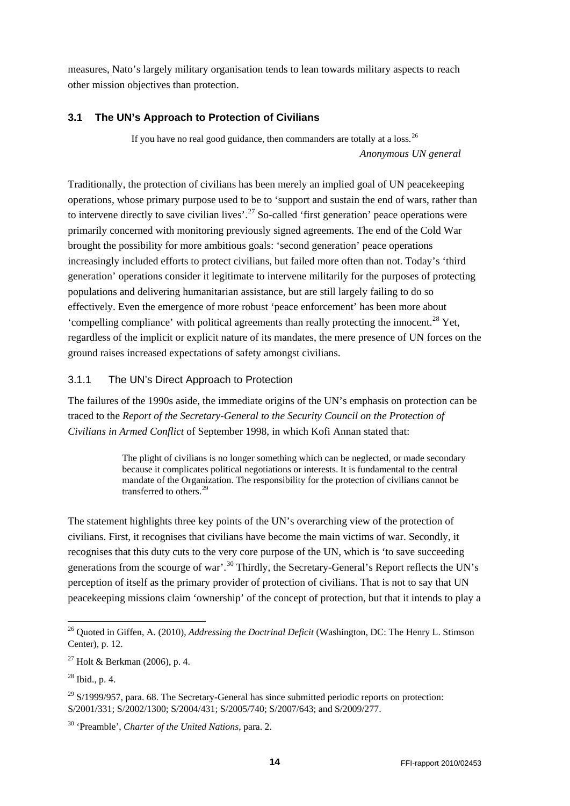measures, Nato's largely military organisation tends to lean towards military aspects to reach other mission objectives than protection.

### <span id="page-13-0"></span>**3.1 The UN's Approach to Protection of Civilians**

If you have no real good guidance, then commanders are totally at a loss.<sup>[26](#page-13-2)</sup> *Anonymous UN general*

Traditionally, the protection of civilians has been merely an implied goal of UN peacekeeping operations, whose primary purpose used to be to 'support and sustain the end of wars, rather than to intervene directly to save civilian lives'.<sup>[27](#page-13-3)</sup> So-called 'first generation' peace operations were primarily concerned with monitoring previously signed agreements. The end of the Cold War brought the possibility for more ambitious goals: 'second generation' peace operations increasingly included efforts to protect civilians, but failed more often than not. Today's 'third generation' operations consider it legitimate to intervene militarily for the purposes of protecting populations and delivering humanitarian assistance, but are still largely failing to do so effectively. Even the emergence of more robust 'peace enforcement' has been more about 'compelling compliance' with political agreements than really protecting the innocent.<sup>[28](#page-13-4)</sup> Yet, regardless of the implicit or explicit nature of its mandates, the mere presence of UN forces on the ground raises increased expectations of safety amongst civilians.

### <span id="page-13-1"></span>3.1.1 The UN's Direct Approach to Protection

The failures of the 1990s aside, the immediate origins of the UN's emphasis on protection can be traced to the *Report of the Secretary-General to the Security Council on the Protection of Civilians in Armed Conflict* of September 1998, in which Kofi Annan stated that:

> The plight of civilians is no longer something which can be neglected, or made secondary because it complicates political negotiations or interests. It is fundamental to the central mandate of the Organization. The responsibility for the protection of civilians cannot be transferred to others.<sup>[29](#page-13-5)</sup>

The statement highlights three key points of the UN's overarching view of the protection of civilians. First, it recognises that civilians have become the main victims of war. Secondly, it recognises that this duty cuts to the very core purpose of the UN, which is 'to save succeeding generations from the scourge of war'.<sup>[30](#page-13-6)</sup> Thirdly, the Secretary-General's Report reflects the UN's perception of itself as the primary provider of protection of civilians. That is not to say that UN peacekeeping missions claim 'ownership' of the concept of protection, but that it intends to play a

<span id="page-13-2"></span> <sup>26</sup> Quoted in Giffen, A. (2010), *Addressing the Doctrinal Deficit* (Washington, DC: The Henry L. Stimson Center), p. 12.

<span id="page-13-3"></span><sup>&</sup>lt;sup>27</sup> Holt & Berkman (2006), p. 4.

<span id="page-13-4"></span> $^{28}$  Ibid., p. 4.

<span id="page-13-5"></span> $29$  S/1999/957, para. 68. The Secretary-General has since submitted periodic reports on protection: S/2001/331; S/2002/1300; S/2004/431; S/2005/740; S/2007/643; and S/2009/277.

<span id="page-13-6"></span><sup>30</sup> 'Preamble', *Charter of the United Nations*, para. 2.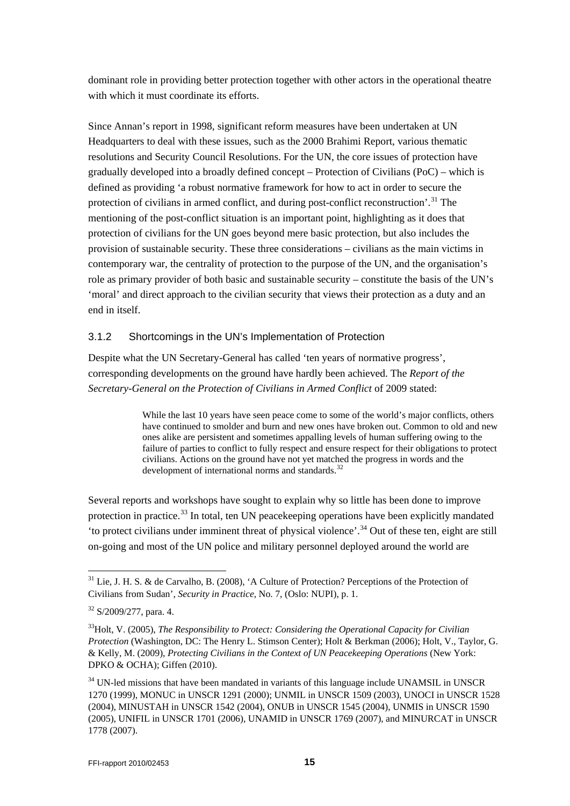dominant role in providing better protection together with other actors in the operational theatre with which it must coordinate its efforts.

Since Annan's report in 1998, significant reform measures have been undertaken at UN Headquarters to deal with these issues, such as the 2000 Brahimi Report, various thematic resolutions and Security Council Resolutions. For the UN, the core issues of protection have gradually developed into a broadly defined concept – Protection of Civilians (PoC) – which is defined as providing 'a robust normative framework for how to act in order to secure the protection of civilians in armed conflict, and during post-conflict reconstruction'.<sup>[31](#page-14-1)</sup> The mentioning of the post-conflict situation is an important point, highlighting as it does that protection of civilians for the UN goes beyond mere basic protection, but also includes the provision of sustainable security. These three considerations – civilians as the main victims in contemporary war, the centrality of protection to the purpose of the UN, and the organisation's role as primary provider of both basic and sustainable security – constitute the basis of the UN's 'moral' and direct approach to the civilian security that views their protection as a duty and an end in itself.

### <span id="page-14-0"></span>3.1.2 Shortcomings in the UN's Implementation of Protection

Despite what the UN Secretary-General has called 'ten years of normative progress', corresponding developments on the ground have hardly been achieved. The *Report of the Secretary-General on the Protection of Civilians in Armed Conflict* of 2009 stated:

> While the last 10 years have seen peace come to some of the world's major conflicts, others have continued to smolder and burn and new ones have broken out. Common to old and new ones alike are persistent and sometimes appalling levels of human suffering owing to the failure of parties to conflict to fully respect and ensure respect for their obligations to protect civilians. Actions on the ground have not yet matched the progress in words and the development of international norms and standards. $32$

Several reports and workshops have sought to explain why so little has been done to improve protection in practice.<sup>[33](#page-14-3)</sup> In total, ten UN peacekeeping operations have been explicitly mandated 'to protect civilians under imminent threat of physical violence'.<sup>[34](#page-14-4)</sup> Out of these ten, eight are still on-going and most of the UN police and military personnel deployed around the world are

<span id="page-14-1"></span> $31$  Lie, J. H. S. & de Carvalho, B. (2008), 'A Culture of Protection? Perceptions of the Protection of Civilians from Sudan', *Security in Practice*, No. 7, (Oslo: NUPI), p. 1.

<span id="page-14-2"></span> $32$  S/2009/277, para. 4.

<span id="page-14-3"></span><sup>33</sup>Holt, V. (2005), *The Responsibility to Protect: Considering the Operational Capacity for Civilian Protection* (Washington, DC: The Henry L. Stimson Center); Holt & Berkman (2006); Holt, V., Taylor, G. & Kelly, M. (2009), *Protecting Civilians in the Context of UN Peacekeeping Operations* (New York: DPKO & OCHA); Giffen (2010).

<span id="page-14-4"></span> $34$  UN-led missions that have been mandated in variants of this language include UNAMSIL in UNSCR 1270 (1999), MONUC in UNSCR 1291 (2000); UNMIL in UNSCR 1509 (2003), UNOCI in UNSCR 1528 (2004), MINUSTAH in UNSCR 1542 (2004), ONUB in UNSCR 1545 (2004), UNMIS in UNSCR 1590 (2005), UNIFIL in UNSCR 1701 (2006), UNAMID in UNSCR 1769 (2007), and MINURCAT in UNSCR 1778 (2007).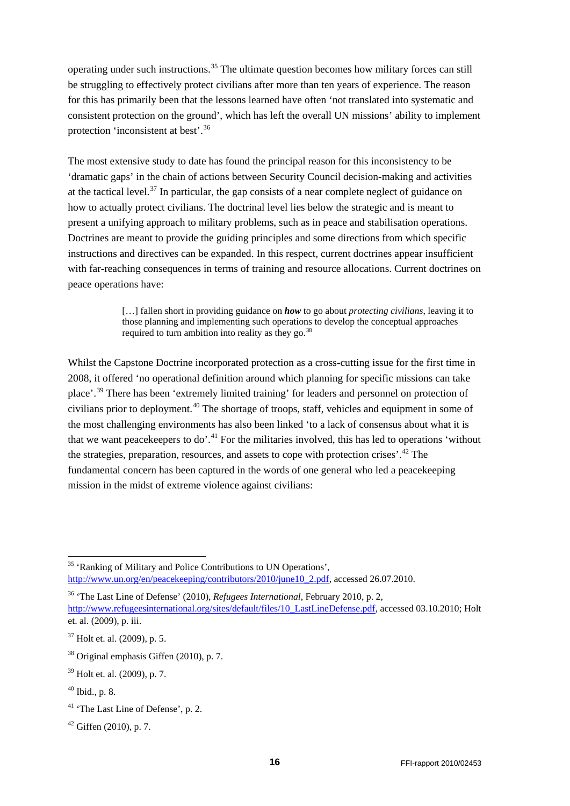operating under such instructions.<sup>[35](#page-15-0)</sup> The ultimate question becomes how military forces can still be struggling to effectively protect civilians after more than ten years of experience. The reason for this has primarily been that the lessons learned have often 'not translated into systematic and consistent protection on the ground', which has left the overall UN missions' ability to implement protection 'inconsistent at best'.[36](#page-15-1)

The most extensive study to date has found the principal reason for this inconsistency to be 'dramatic gaps' in the chain of actions between Security Council decision-making and activities at the tactical level.<sup>[37](#page-15-2)</sup> In particular, the gap consists of a near complete neglect of guidance on how to actually protect civilians. The doctrinal level lies below the strategic and is meant to present a unifying approach to military problems, such as in peace and stabilisation operations. Doctrines are meant to provide the guiding principles and some directions from which specific instructions and directives can be expanded. In this respect, current doctrines appear insufficient with far-reaching consequences in terms of training and resource allocations. Current doctrines on peace operations have:

> […] fallen short in providing guidance on *how* to go about *protecting civilians*, leaving it to those planning and implementing such operations to develop the conceptual approaches required to turn ambition into reality as they go.<sup>[38](#page-15-3)</sup>

Whilst the Capstone Doctrine incorporated protection as a cross-cutting issue for the first time in 2008, it offered 'no operational definition around which planning for specific missions can take place'.[39](#page-15-4) There has been 'extremely limited training' for leaders and personnel on protection of civilians prior to deployment.<sup>[40](#page-15-5)</sup> The shortage of troops, staff, vehicles and equipment in some of the most challenging environments has also been linked 'to a lack of consensus about what it is that we want peace keepers to do'.<sup>[41](#page-15-6)</sup> For the militaries involved, this has led to operations 'without the strategies, preparation, resources, and assets to cope with protection crises'.<sup>[42](#page-15-7)</sup> The fundamental concern has been captured in the words of one general who led a peacekeeping mission in the midst of extreme violence against civilians:

<span id="page-15-0"></span><sup>&</sup>lt;sup>35</sup> 'Ranking of Military and Police Contributions to UN Operations', [http://www.un.org/en/peacekeeping/contributors/2010/june10\\_2.pdf,](http://www.un.org/en/peacekeeping/contributors/2010/june10_2.pdf) accessed 26.07.2010.

<span id="page-15-1"></span><sup>36</sup> 'The Last Line of Defense' (2010), *Refugees International*, February 2010, p. 2, [http://www.refugeesinternational.org/sites/default/files/10\\_LastLineDefense.pdf,](http://www.refugeesinternational.org/sites/default/files/10_LastLineDefense.pdf) accessed 03.10.2010; Holt et. al. (2009), p. iii.

<span id="page-15-2"></span><sup>37</sup> Holt et. al. (2009), p. 5.

<span id="page-15-3"></span><sup>38</sup> Original emphasis Giffen (2010), p. 7.

<span id="page-15-4"></span><sup>39</sup> Holt et. al. (2009), p. 7.

<span id="page-15-5"></span> $40$  Ibid., p. 8.

<span id="page-15-6"></span><sup>&</sup>lt;sup>41</sup> 'The Last Line of Defense', p. 2.

<span id="page-15-7"></span> $42$  Giffen (2010), p. 7.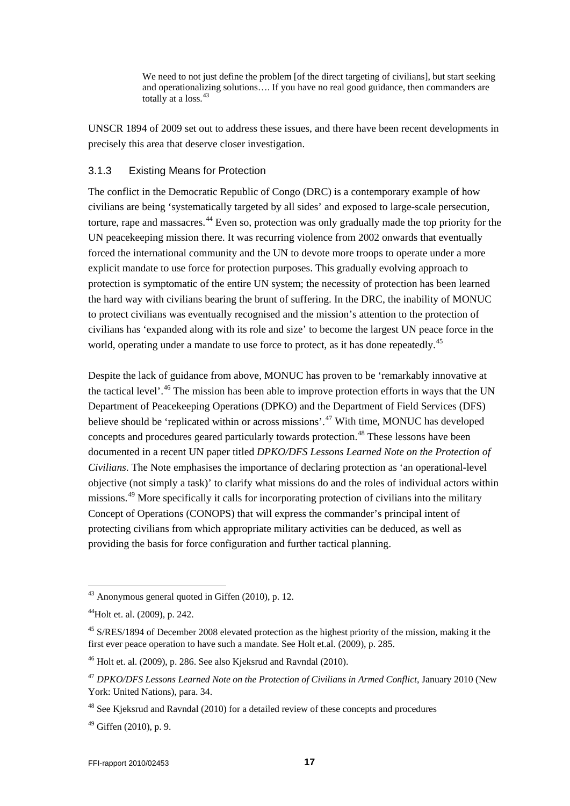We need to not just define the problem [of the direct targeting of civilians], but start seeking and operationalizing solutions…. If you have no real good guidance, then commanders are totally at a loss.<sup>[43](#page-16-1)</sup>

UNSCR 1894 of 2009 set out to address these issues, and there have been recent developments in precisely this area that deserve closer investigation.

#### <span id="page-16-0"></span>3.1.3 Existing Means for Protection

The conflict in the Democratic Republic of Congo (DRC) is a contemporary example of how civilians are being 'systematically targeted by all sides' and exposed to large-scale persecution, torture, rape and massacres.<sup>[44](#page-16-2)</sup> Even so, protection was only gradually made the top priority for the UN peacekeeping mission there. It was recurring violence from 2002 onwards that eventually forced the international community and the UN to devote more troops to operate under a more explicit mandate to use force for protection purposes. This gradually evolving approach to protection is symptomatic of the entire UN system; the necessity of protection has been learned the hard way with civilians bearing the brunt of suffering. In the DRC, the inability of MONUC to protect civilians was eventually recognised and the mission's attention to the protection of civilians has 'expanded along with its role and size' to become the largest UN peace force in the world, operating under a mandate to use force to protect, as it has done repeatedly.<sup>[45](#page-16-3)</sup>

Despite the lack of guidance from above, MONUC has proven to be 'remarkably innovative at the tactical level'.<sup>[46](#page-16-4)</sup> The mission has been able to improve protection efforts in ways that the UN Department of Peacekeeping Operations (DPKO) and the Department of Field Services (DFS) believe should be 'replicated within or across missions'.<sup>[47](#page-16-5)</sup> With time, MONUC has developed concepts and procedures geared particularly towards protection.<sup>[48](#page-16-6)</sup> These lessons have been documented in a recent UN paper titled *DPKO/DFS Lessons Learned Note on the Protection of Civilians*. The Note emphasises the importance of declaring protection as 'an operational-level objective (not simply a task)' to clarify what missions do and the roles of individual actors within missions.<sup>[49](#page-16-7)</sup> More specifically it calls for incorporating protection of civilians into the military Concept of Operations (CONOPS) that will express the commander's principal intent of protecting civilians from which appropriate military activities can be deduced, as well as providing the basis for force configuration and further tactical planning.

<span id="page-16-7"></span> $49$  Giffen (2010), p. 9.

<span id="page-16-1"></span> $43$  Anonymous general quoted in Giffen (2010), p. 12.

<span id="page-16-2"></span><sup>44</sup>Holt et. al. (2009), p. 242.

<span id="page-16-3"></span><sup>&</sup>lt;sup>45</sup> S/RES/1894 of December 2008 elevated protection as the highest priority of the mission, making it the first ever peace operation to have such a mandate. See Holt et.al. (2009), p. 285.

<span id="page-16-4"></span> $46$  Holt et. al. (2009), p. 286. See also Kjeksrud and Ravndal (2010).

<span id="page-16-5"></span><sup>47</sup> *DPKO/DFS Lessons Learned Note on the Protection of Civilians in Armed Conflict*, January 2010 (New York: United Nations), para. 34.

<span id="page-16-6"></span><sup>&</sup>lt;sup>48</sup> See Kieksrud and Ravndal (2010) for a detailed review of these concepts and procedures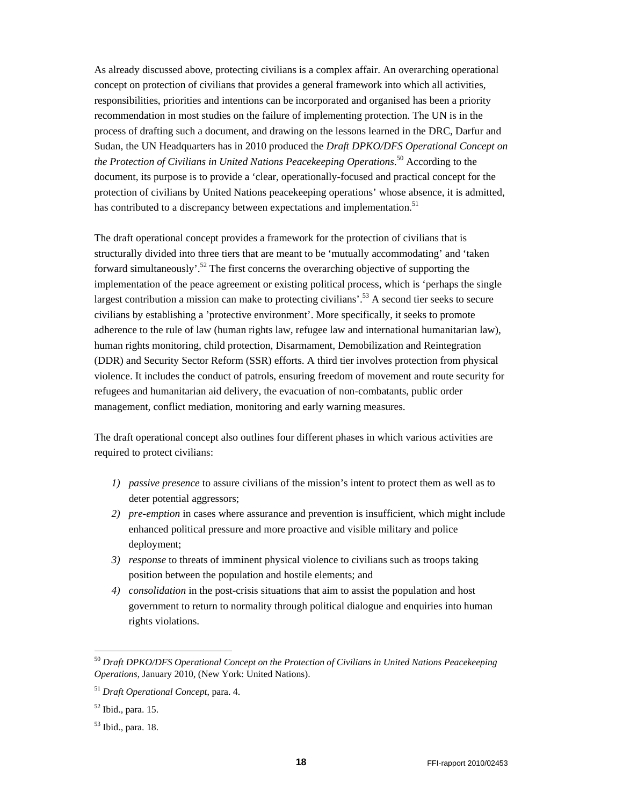As already discussed above, protecting civilians is a complex affair. An overarching operational concept on protection of civilians that provides a general framework into which all activities, responsibilities, priorities and intentions can be incorporated and organised has been a priority recommendation in most studies on the failure of implementing protect[io](#page-17-0)n. The UN is in the process of drafting such a document, and drawing on the lessons learned in the DRC, Darfur and Sudan, the UN Headquarters has in 2010 produced the *Draft DPKO/DFS Operational Concept on the Protection of Civilians in United Nations Peacekeeping Operations*. 50 [Ac](#page-17-1)cording to the document, its purpose is to provide a 'clear, operationally-focused and practical concept for the protection of civilians by United Nations peacekeeping operations' whose absence, it is admitted, has contributed to a discrepancy between expectations and implementation.<sup>51</sup>

The draft operational [co](#page-17-2)ncept provides a framework for the protection of civilians that is structurally divided into three tiers that are meant to be 'mutually accommodating' and 'taken forward simultaneously'.52 The first concerns the overarching [ob](#page-17-3)jective of supporting the implementation of the peace agreement or existing political process, which is 'perhaps the single largest contribution a mission can make to protecting civilians'.<sup>53</sup> A second tier seeks to secure civilians by establishing a 'protective environment'. More specifically, it seeks to promote adherence to the rule of law (human rights law, refugee law and international humanitarian law), human rights monitoring, child protection, Disarmament, Demobilization and Reintegration (DDR) and Security Sector Reform (SSR) efforts. A third tier involves protection from physical violence. It includes the conduct of patrols, ensuring freedom of movement and route security for refugees and humanitarian aid delivery, the evacuation of non-combatants, public order management, conflict mediation, monitoring and early warning measures.

The draft operational concept also outlines four different phases in which various activities are required to protect civilians:

- *1) passive presence* to assure civilians of the mission's intent to protect them as well as to deter potential aggressors;
- *2) pre-emption* in cases where assurance and prevention is insufficient, which might include enhanced political pressure and more proactive and visible military and police deployment;
- *3) response* to threats of imminent physical violence to civilians such as troops taking position between the population and hostile elements; and
- *4) consolidation* in the post-crisis situations that aim to assist the population and host government to return to normality through political dialogue and enquiries into human rights violations.

l

<span id="page-17-0"></span><sup>50</sup> *Draft DPKO/DFS Operational Concept on the Protection of Civilians in United Nations Peacekeeping Operations*, January 2010, (New York: United Nations).

<span id="page-17-1"></span><sup>51</sup> *Draft Operational Concept*, para. 4.

<span id="page-17-3"></span><span id="page-17-2"></span><sup>52</sup> Ibid., para. 15.

<sup>53</sup> Ibid., para. 18.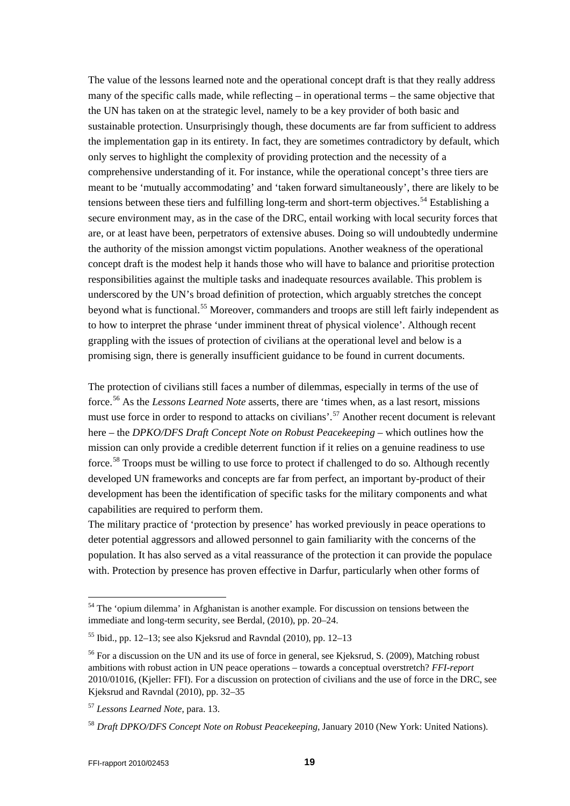The value of the lessons learned note and the operational concept draft is that they really address many of the specific calls made, while reflecting – in operational terms – the same objective that the UN has taken on at the strategic level, namely to be a key provider of both basic and sustainable protection. Unsurprisingly though, these documents are far from sufficient to address the implementation gap in its entirety. In fact, they are sometimes contradictory by default, which only serves to highlight the complexity of providing protection and the necessity of a comprehensive understanding of it. For instance, while the operational concept's three tiers are meant to be 'mutually accommodating' and 'taken forward simultaneously', there are likely to be tensions between these tiers and fulfilling long-term and short-term objectives.<sup>[54](#page-18-0)</sup> Establishing a secure environment may, as in the case of the DRC, entail working with local security forces that are, or at least have been, perpetrators of extensive abuses. Doing so will undoubtedly undermine the authority of the mission amongst victim populations. Another weakness of the operational concept draft is the modest help it hands those who will have to balance and prioritise protection responsibilities against the multiple tasks and inadequate resources available. This problem is underscored by the UN's broad definition of protection, which arguably stretches the concept beyond what is functional.[55](#page-18-1) Moreover, commanders and troops are still left fairly independent as to how to interpret the phrase 'under imminent threat of physical violence'. Although recent grappling with the issues of protection of civilians at the operational level and below is a promising sign, there is generally insufficient guidance to be found in current documents.

The protection of civilians still faces a number of dilemmas, especially in terms of the use of force.[56](#page-18-2) As the *Lessons Learned Note* asserts, there are 'times when, as a last resort, missions must use force in order to respond to attacks on civilians'.<sup>[57](#page-18-3)</sup> Another recent document is relevant here – the *DPKO/DFS Draft Concept Note on Robust Peacekeeping* – which outlines how the mission can only provide a credible deterrent function if it relies on a genuine readiness to use force.<sup>[58](#page-18-4)</sup> Troops must be willing to use force to protect if challenged to do so. Although recently developed UN frameworks and concepts are far from perfect, an important by-product of their development has been the identification of specific tasks for the military components and what capabilities are required to perform them.

The military practice of 'protection by presence' has worked previously in peace operations to deter potential aggressors and allowed personnel to gain familiarity with the concerns of the population. It has also served as a vital reassurance of the protection it can provide the populace with. Protection by presence has proven effective in Darfur, particularly when other forms of

<span id="page-18-0"></span><sup>&</sup>lt;sup>54</sup> The 'opium dilemma' in Afghanistan is another example. For discussion on tensions between the immediate and long-term security, see Berdal, (2010), pp. 20–24.

<span id="page-18-1"></span><sup>&</sup>lt;sup>55</sup> Ibid., pp. 12–13; see also Kieksrud and Ravndal (2010), pp. 12–13

<span id="page-18-2"></span><sup>&</sup>lt;sup>56</sup> For a discussion on the UN and its use of force in general, see Kieksrud, S. (2009), Matching robust ambitions with robust action in UN peace operations – towards a conceptual overstretch? *FFI-report* 2010/01016, (Kjeller: FFI). For a discussion on protection of civilians and the use of force in the DRC, see Kjeksrud and Ravndal (2010), pp. 32–35

<span id="page-18-3"></span><sup>57</sup> *Lessons Learned Note*, para. 13.

<span id="page-18-4"></span><sup>58</sup> *Draft DPKO/DFS Concept Note on Robust Peacekeeping*, January 2010 (New York: United Nations).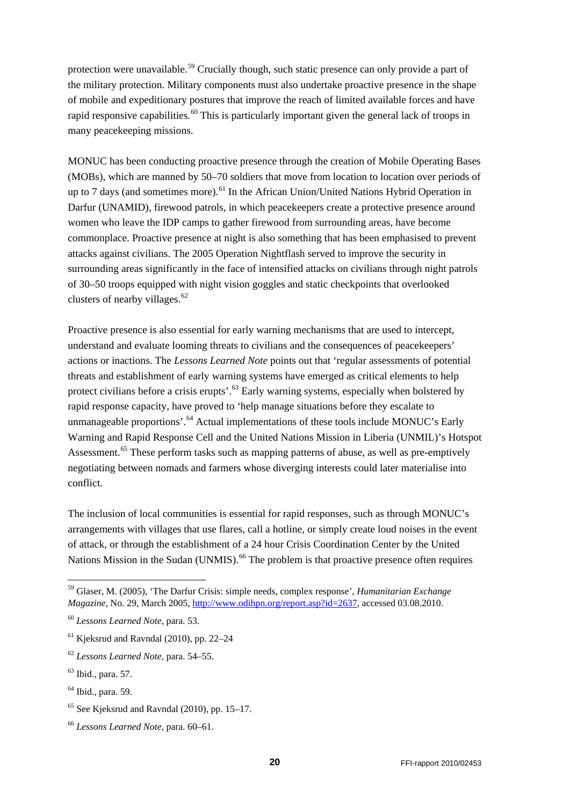protection were unavailable.<sup>[59](#page-19-0)</sup> Crucially though, such static presence can only provide a part of the military protection. Military components must also undertake proactive presence in the shape of mobile and expeditionary postures that improve the reach of limited available forces and have rapid responsive capabilities.<sup>[60](#page-19-1)</sup> This is particularly important given the general lack of troops in many peacekeeping missions.

MONUC has been conducting proactive presence through the creation of Mobile Operating Bases (MOBs), which are manned by 50–70 soldiers that move from location to location over periods of up to 7 days (and sometimes more).<sup>[61](#page-19-2)</sup> In the African Union/United Nations Hybrid Operation in Darfur (UNAMID), firewood patrols, in which peacekeepers create a protective presence around women who leave the IDP camps to gather firewood from surrounding areas, have become commonplace. Proactive presence at night is also something that has been emphasised to prevent attacks against civilians. The 2005 Operation Nightflash served to improve the security in surrounding areas significantly in the face of intensified attacks on civilians through night patrols of 30–50 troops equipped with night vision goggles and static checkpoints that overlooked clusters of nearby villages. $62$ 

Proactive presence is also essential for early warning mechanisms that are used to intercept, understand and evaluate looming threats to civilians and the consequences of peacekeepers' actions or inactions. The *Lessons Learned Note* points out that 'regular assessments of potential threats and establishment of early warning systems have emerged as critical elements to help protect civilians before a crisis erupts'.<sup>[63](#page-19-4)</sup> Early warning systems, especially when bolstered by rapid response capacity, have proved to 'help manage situations before they escalate to unmanageable proportions'.<sup>[64](#page-19-5)</sup> Actual implementations of these tools include MONUC's Early Warning and Rapid Response Cell and the United Nations Mission in Liberia (UNMIL)'s Hotspot Assessment.<sup>[65](#page-19-6)</sup> These perform tasks such as mapping patterns of abuse, as well as pre-emptively negotiating between nomads and farmers whose diverging interests could later materialise into conflict.

The inclusion of local communities is essential for rapid responses, such as through MONUC's arrangements with villages that use flares, call a hotline, or simply create loud noises in the event of attack, or through the establishment of a 24 hour Crisis Coordination Center by the United Nations Mission in the Sudan (UNMIS).<sup>[66](#page-19-7)</sup> The problem is that proactive presence often requires

<span id="page-19-0"></span> <sup>59</sup> Glaser, M. (2005), 'The Darfur Crisis: simple needs, complex response', *Humanitarian Exchange Magazine*, No. 29, March 2005, [http://www.odihpn.org/report.asp?id=2637,](http://www.odihpn.org/report.asp?id=2637) accessed 03.08.2010.

<span id="page-19-1"></span><sup>60</sup> *Lessons Learned Note*, para. 53.

<span id="page-19-2"></span> $61$  Kjeksrud and Ravndal (2010), pp. 22–24

<span id="page-19-3"></span><sup>62</sup> *Lessons Learned Note*, para. 54–55.

<span id="page-19-4"></span><sup>63</sup> Ibid., para. 57.

<span id="page-19-5"></span> $<sup>64</sup>$  Ibid., para. 59.</sup>

<span id="page-19-6"></span> $65$  See Kjeksrud and Ravndal (2010), pp. 15–17.

<span id="page-19-7"></span><sup>66</sup> *Lessons Learned Note*, para. 60–61.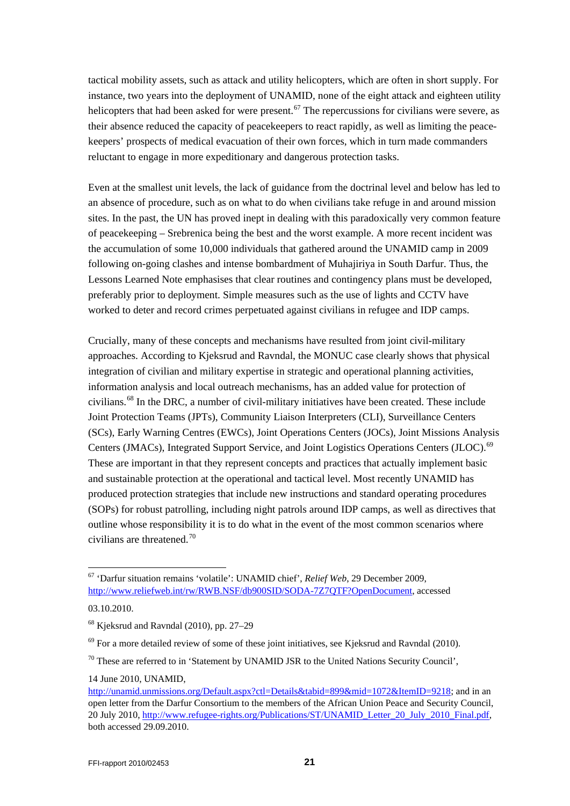tactical mobility assets, such as attack and utility helicopters, which are often in short supply. For instance, two years into the deployment of UNAMID, none of the eight attack and eighteen utility helicopters that had been asked for were present.<sup>[67](#page-20-0)</sup> The repercussions for civilians were severe, as their absence reduced the capacity of peacekeepers to react rapidly, as well as limiting the peacekeepers' prospects of medical evacuation of their own forces, which in turn made commanders reluctant to engage in more expeditionary and dangerous protection tasks.

Even at the smallest unit levels, the lack of guidance from the doctrinal level and below has led to an absence of procedure, such as on what to do when civilians take refuge in and around mission sites. In the past, the UN has proved inept in dealing with this paradoxically very common feature of peacekeeping – Srebrenica being the best and the worst example. A more recent incident was the accumulation of some 10,000 individuals that gathered around the UNAMID camp in 2009 following on-going clashes and intense bombardment of Muhajiriya in South Darfur. Thus, the Lessons Learned Note emphasises that clear routines and contingency plans must be developed, preferably prior to deployment. Simple measures such as the use of lights and CCTV have worked to deter and record crimes perpetuated against civilians in refugee and IDP camps.

Crucially, many of these concepts and mechanisms have resulted from joint civil-military approaches. According to Kjeksrud and Ravndal, the MONUC case clearly shows that physical integration of civilian and military expertise in strategic and operational planning activities, information analysis and local outreach mechanisms, has an added value for protection of civilians. [68](#page-20-1) In the DRC, a number of civil-military initiatives have been created. These include Joint Protection Teams (JPTs), Community Liaison Interpreters (CLI), Surveillance Centers (SCs), Early Warning Centres (EWCs), Joint Operations Centers (JOCs), Joint Missions Analysis Centers (JMACs), Integrated Support Service, and Joint Logistics Operations Centers (JLOC).<sup>[69](#page-20-2)</sup> These are important in that they represent concepts and practices that actually implement basic and sustainable protection at the operational and tactical level. Most recently UNAMID has produced protection strategies that include new instructions and standard operating procedures (SOPs) for robust patrolling, including night patrols around IDP camps, as well as directives that outline whose responsibility it is to do what in the event of the most common scenarios where civilians are threatened.[70](#page-20-3)

<span id="page-20-0"></span> <sup>67</sup> 'Darfur situation remains 'volatile': UNAMID chief', *Relief Web*, 29 December 2009, [http://www.reliefweb.int/rw/RWB.NSF/db900SID/SODA-7Z7QTF?OpenDocument,](http://www.reliefweb.int/rw/RWB.NSF/db900SID/SODA-7Z7QTF?OpenDocument) accessed

<sup>03.10.2010.</sup>

<span id="page-20-1"></span><sup>68</sup> Kjeksrud and Ravndal (2010), pp. 27–29

<span id="page-20-2"></span><sup>&</sup>lt;sup>69</sup> For a more detailed review of some of these joint initiatives, see Kjeksrud and Ravndal (2010).

<span id="page-20-3"></span><sup>&</sup>lt;sup>70</sup> These are referred to in 'Statement by UNAMID JSR to the United Nations Security Council',

<sup>14</sup> June 2010, UNAMID,

[http://unamid.unmissions.org/Default.aspx?ctl=Details&tabid=899&mid=1072&ItemID=9218;](http://unamid.unmissions.org/Default.aspx?ctl=Details&tabid=899&mid=1072&ItemID=9218) and in an open letter from the Darfur Consortium to the members of the African Union Peace and Security Council, 20 July 2010, [http://www.refugee-rights.org/Publications/ST/UNAMID\\_Letter\\_20\\_July\\_2010\\_Final.pdf,](http://www.refugee-rights.org/Publications/ST/UNAMID_Letter_20_July_2010_Final.pdf)  both accessed 29.09.2010.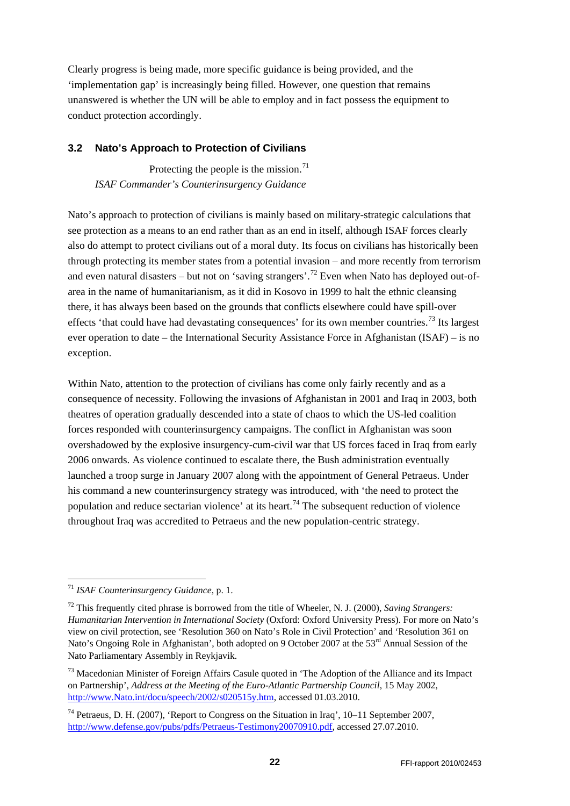Clearly progress is being made, more specific guidance is being provided, and the 'implementation gap' is increasingly being filled. However, one question that remains unanswered is whether the UN will be able to employ and in fact possess the equipment to conduct protection accordingly.

### <span id="page-21-0"></span>**3.2 Nato's Approach to Protection of Civilians**

Protecting the people is the mission.<sup>[71](#page-21-1)</sup> *ISAF Commander's Counterinsurgency Guidance*

Nato's approach to protection of civilians is mainly based on military-strategic calculations that see protection as a means to an end rather than as an end in itself, although ISAF forces clearly also do attempt to protect civilians out of a moral duty. Its focus on civilians has historically been through protecting its member states from a potential invasion – and more recently from terrorism and even natural disasters – but not on 'saving strangers'.<sup>[72](#page-21-2)</sup> Even when Nato has deployed out-ofarea in the name of humanitarianism, as it did in Kosovo in 1999 to halt the ethnic cleansing there, it has always been based on the grounds that conflicts elsewhere could have spill-over effects 'that could have had devastating consequences' for its own member countries.<sup>[73](#page-21-3)</sup> Its largest ever operation to date – the International Security Assistance Force in Afghanistan (ISAF) – is no exception.

Within Nato, attention to the protection of civilians has come only fairly recently and as a consequence of necessity. Following the invasions of Afghanistan in 2001 and Iraq in 2003, both theatres of operation gradually descended into a state of chaos to which the US-led coalition forces responded with counterinsurgency campaigns. The conflict in Afghanistan was soon overshadowed by the explosive insurgency-cum-civil war that US forces faced in Iraq from early 2006 onwards. As violence continued to escalate there, the Bush administration eventually launched a troop surge in January 2007 along with the appointment of General Petraeus. Under his command a new counterinsurgency strategy was introduced, with 'the need to protect the population and reduce sectarian violence' at its heart.<sup>[74](#page-21-4)</sup> The subsequent reduction of violence throughout Iraq was accredited to Petraeus and the new population-centric strategy.

<span id="page-21-1"></span> <sup>71</sup> *ISAF Counterinsurgency Guidance*, p. 1.

<span id="page-21-2"></span><sup>72</sup> This frequently cited phrase is borrowed from the title of Wheeler, N. J. (2000), *Saving Strangers: Humanitarian Intervention in International Society* (Oxford: Oxford University Press). For more on Nato's view on civil protection, see 'Resolution 360 on Nato's Role in Civil Protection' and 'Resolution 361 on Nato's Ongoing Role in Afghanistan', both adopted on 9 October 2007 at the 53<sup>rd</sup> Annual Session of the Nato Parliamentary Assembly in Reykjavik.

<span id="page-21-3"></span><sup>&</sup>lt;sup>73</sup> Macedonian Minister of Foreign Affairs Casule quoted in 'The Adoption of the Alliance and its Impact on Partnership', *Address at the Meeting of the Euro-Atlantic Partnership Council*, 15 May 2002, [http://www.Nato.int/docu/speech/2002/s020515y.htm,](http://www.nato.int/docu/speech/2002/s020515y.htm) accessed 01.03.2010.

<span id="page-21-4"></span><sup>&</sup>lt;sup>74</sup> Petraeus, D. H. (2007), 'Report to Congress on the Situation in Iraq',  $10-11$  September 2007, [http://www.defense.gov/pubs/pdfs/Petraeus-Testimony20070910.pdf,](http://www.defense.gov/pubs/pdfs/Petraeus-Testimony20070910.pdf) accessed 27.07.2010.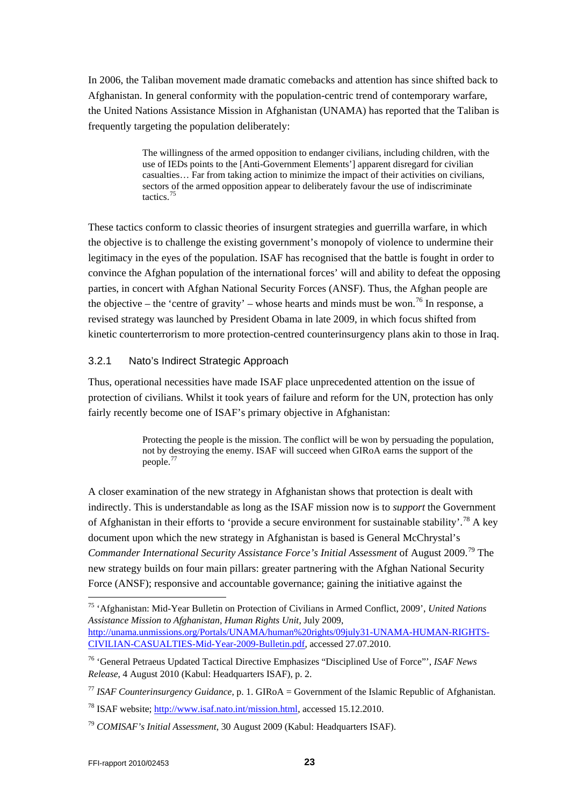In 2006, the Taliban movement made dramatic comebacks and attention has since shifted back to Afghanistan. In general conformity with the population-centric trend of contemporary warfare, the United Nations Assistance Mission in Afghanistan (UNAMA) has reported that the Taliban is frequently targeting the population deliberately:

> The willingness of the armed opposition to endanger civilians, including children, with the use of IEDs points to the [Anti-Government Elements'] apparent disregard for civilian casualties… Far from taking action to minimize the impact of their activities on civilians, sectors of the armed opposition appear to deliberately favour the use of indiscriminate tactics.[75](#page-22-1)

These tactics conform to classic theories of insurgent strategies and guerrilla warfare, in which the objective is to challenge the existing government's monopoly of violence to undermine their legitimacy in the eyes of the population. ISAF has recognised that the battle is fought in order to convince the Afghan population of the international forces' will and ability to defeat the opposing parties, in concert with Afghan National Security Forces (ANSF). Thus, the Afghan people are the objective – the 'centre of gravity' – whose hearts and minds must be won.<sup>[76](#page-22-2)</sup> In response, a revised strategy was launched by President Obama in late 2009, in which focus shifted from kinetic counterterrorism to more protection-centred counterinsurgency plans akin to those in Iraq.

#### <span id="page-22-0"></span>3.2.1 Nato's Indirect Strategic Approach

Thus, operational necessities have made ISAF place unprecedented attention on the issue of protection of civilians. Whilst it took years of failure and reform for the UN, protection has only fairly recently become one of ISAF's primary objective in Afghanistan:

> Protecting the people is the mission. The conflict will be won by persuading the population, not by destroying the enemy. ISAF will succeed when GIRoA earns the support of the people.[77](#page-22-3)

A closer examination of the new strategy in Afghanistan shows that protection is dealt with indirectly. This is understandable as long as the ISAF mission now is to *support* the Government of Afghanistan in their efforts to 'provide a secure environment for sustainable stability'.[78](#page-22-4) A key document upon which the new strategy in Afghanistan is based is General McChrystal's Commander International Security Assistance Force's Initial Assessment of August 2009.<sup>[79](#page-22-5)</sup> The new strategy builds on four main pillars: greater partnering with the Afghan National Security Force (ANSF); responsive and accountable governance; gaining the initiative against the

<span id="page-22-1"></span> <sup>75</sup> 'Afghanistan: Mid-Year Bulletin on Protection of Civilians in Armed Conflict, 2009', *United Nations Assistance Mission to Afghanistan, Human Rights Unit*, July 2009, [http://unama.unmissions.org/Portals/UNAMA/human%20rights/09july31-UNAMA-HUMAN-RIGHTS-](http://unama.unmissions.org/Portals/UNAMA/human%20rights/09july31-UNAMA-HUMAN-RIGHTS-CIVILIAN-CASUALTIES-Mid-Year-2009-Bulletin.pdf)[CIVILIAN-CASUALTIES-Mid-Year-2009-Bulletin.pdf,](http://unama.unmissions.org/Portals/UNAMA/human%20rights/09july31-UNAMA-HUMAN-RIGHTS-CIVILIAN-CASUALTIES-Mid-Year-2009-Bulletin.pdf) accessed 27.07.2010.

<span id="page-22-2"></span><sup>76</sup> 'General Petraeus Updated Tactical Directive Emphasizes "Disciplined Use of Force"', *ISAF News Release*, 4 August 2010 (Kabul: Headquarters ISAF), p. 2.

<span id="page-22-3"></span><sup>77</sup> *ISAF Counterinsurgency Guidance*, p. 1. GIRoA = Government of the Islamic Republic of Afghanistan.

<span id="page-22-4"></span><sup>78</sup> ISAF website; [http://www.isaf.nato.int/mission.html,](http://www.isaf.nato.int/mission.html) accessed 15.12.2010.

<span id="page-22-5"></span><sup>79</sup> *COMISAF's Initial Assessment*, 30 August 2009 (Kabul: Headquarters ISAF).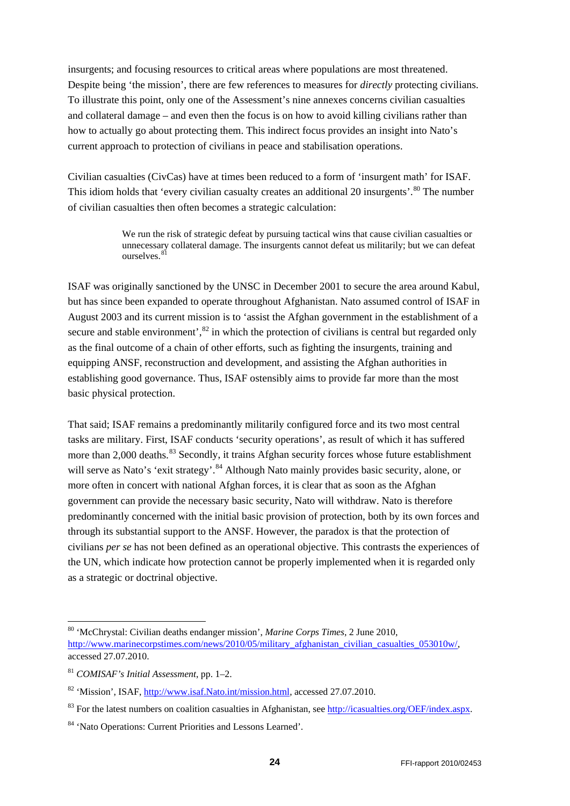insurgents; and focusing resources to critical areas where populations are most threatened. Despite being 'the mission', there are few references to measures for *directly* protecting civilians. To illustrate this point, only one of the Assessment's nine annexes concerns civilian casualties and collateral damage – and even then the focus is on how to avoid killing civilians rather than how to actually go about protecting them. This indirect focus provides an insight into Nato's current approach to protection of civilians in peace and stabilisation operations.

Civilian casualties (CivCas) have at times been reduced to a form of 'insurgent math' for ISAF. This idiom holds that 'every civilian casualty creates an additional 20 insurgents'.<sup>[80](#page-23-0)</sup> The number of civilian casualties then often becomes a strategic calculation:

> We run the risk of strategic defeat by pursuing tactical wins that cause civilian casualties or unnecessary collateral damage. The insurgents cannot defeat us militarily; but we can defeat ourselves.<sup>8</sup>

ISAF was originally sanctioned by the UNSC in December 2001 to secure the area around Kabul, but has since been expanded to operate throughout Afghanistan. Nato assumed control of ISAF in August 2003 and its current mission is to 'assist the Afghan government in the establishment of a secure and stable environment',  $82$  in which the protection of civilians is central but regarded only as the final outcome of a chain of other efforts, such as fighting the insurgents, training and equipping ANSF, reconstruction and development, and assisting the Afghan authorities in establishing good governance. Thus, ISAF ostensibly aims to provide far more than the most basic physical protection.

That said; ISAF remains a predominantly militarily configured force and its two most central tasks are military. First, ISAF conducts 'security operations', as result of which it has suffered more than 2,000 deaths.<sup>[83](#page-23-3)</sup> Secondly, it trains Afghan security forces whose future establishment will serve as Nato's 'exit strategy'.<sup>[84](#page-23-4)</sup> Although Nato mainly provides basic security, alone, or more often in concert with national Afghan forces, it is clear that as soon as the Afghan government can provide the necessary basic security, Nato will withdraw. Nato is therefore predominantly concerned with the initial basic provision of protection, both by its own forces and through its substantial support to the ANSF. However, the paradox is that the protection of civilians *per se* has not been defined as an operational objective. This contrasts the experiences of the UN, which indicate how protection cannot be properly implemented when it is regarded only as a strategic or doctrinal objective.

<span id="page-23-0"></span> <sup>80</sup> 'McChrystal: Civilian deaths endanger mission', *Marine Corps Times*, 2 June 2010, [http://www.marinecorpstimes.com/news/2010/05/military\\_afghanistan\\_civilian\\_casualties\\_053010w/,](http://www.marinecorpstimes.com/news/2010/05/military_afghanistan_civilian_casualties_053010w/) accessed 27.07.2010.

<span id="page-23-1"></span><sup>81</sup> *COMISAF's Initial Assessment*, pp. 1–2.

<span id="page-23-2"></span><sup>82</sup> 'Mission', ISAF, [http://www.isaf.Nato.int/mission.html,](http://www.isaf.nato.int/mission.html) accessed 27.07.2010.

<span id="page-23-3"></span><sup>&</sup>lt;sup>83</sup> For the latest numbers on coalition casualties in Afghanistan, see [http://icasualties.org/OEF/index.aspx.](http://icasualties.org/OEF/index.aspx)

<span id="page-23-4"></span><sup>84</sup> 'Nato Operations: Current Priorities and Lessons Learned'.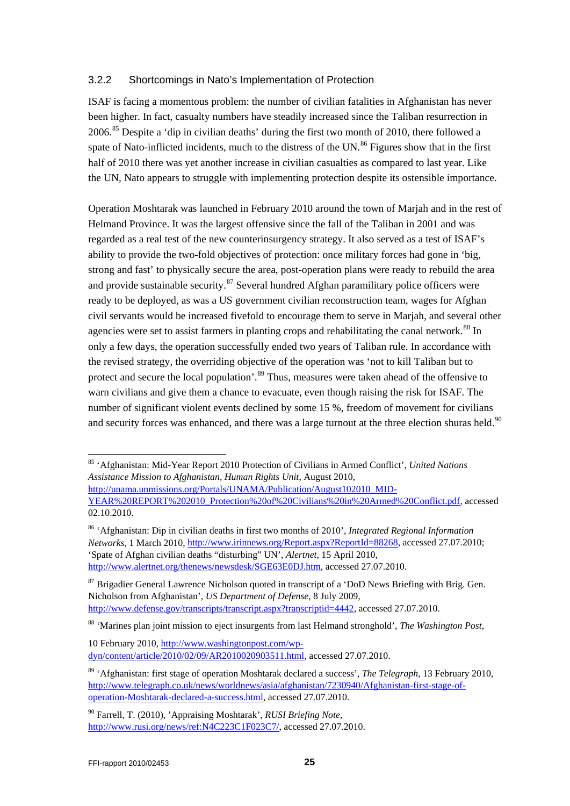#### <span id="page-24-0"></span>3.2.2 Shortcomings in Nato's Implementation of Protection

ISAF is facing a momentous problem: the number of civilian fatalities in Afghanistan has never been higher. In fact, casualty numbers have steadily increased since the Taliban resurrection in 2006.[85](#page-24-1) Despite a 'dip in civilian deaths' during the first two month of 2010, there followed a spate of Nato-inflicted incidents, much to the distress of the UN.<sup>[86](#page-24-2)</sup> Figures show that in the first half of 2010 there was yet another increase in civilian casualties as compared to last year. Like the UN, Nato appears to struggle with implementing protection despite its ostensible importance.

Operation Moshtarak was launched in February 2010 around the town of Marjah and in the rest of Helmand Province. It was the largest offensive since the fall of the Taliban in 2001 and was regarded as a real test of the new counterinsurgency strategy. It also served as a test of ISAF's ability to provide the two-fold objectives of protection: once military forces had gone in 'big, strong and fast' to physically secure the area, post-operation plans were ready to rebuild the area and provide sustainable security.<sup>[87](#page-24-3)</sup> Several hundred Afghan paramilitary police officers were ready to be deployed, as was a US government civilian reconstruction team, wages for Afghan civil servants would be increased fivefold to encourage them to serve in Marjah, and several other agencies were set to assist farmers in planting crops and rehabilitating the canal network.<sup>[88](#page-24-4)</sup> In only a few days, the operation successfully ended two years of Taliban rule. In accordance with the revised strategy, the overriding objective of the operation was 'not to kill Taliban but to protect and secure the local population'.<sup>[89](#page-24-5)</sup> Thus, measures were taken ahead of the offensive to warn civilians and give them a chance to evacuate, even though raising the risk for ISAF. The number of significant violent events declined by some 15 %, freedom of movement for civilians and security forces was enhanced, and there was a large turnout at the three election shuras held.<sup>[90](#page-24-6)</sup>

<span id="page-24-2"></span><sup>86</sup> 'Afghanistan: Dip in civilian deaths in first two months of 2010', *Integrated Regional Information Networks*, 1 March 2010, [http://www.irinnews.org/Report.aspx?ReportId=88268,](http://www.irinnews.org/Report.aspx?ReportId=88268) accessed 27.07.2010; 'Spate of Afghan civilian deaths "disturbing" UN', *Alertnet*, 15 April 2010, [http://www.alertnet.org/thenews/newsdesk/SGE63E0DJ.htm,](http://www.alertnet.org/thenews/newsdesk/SGE63E0DJ.htm) accessed 27.07.2010.

<span id="page-24-3"></span><sup>87</sup> Brigadier General Lawrence Nicholson quoted in transcript of a 'DoD News Briefing with Brig. Gen. Nicholson from Afghanistan', *US Department of Defense*, 8 July 2009, [http://www.defense.gov/transcripts/transcript.aspx?transcriptid=4442,](http://www.defense.gov/transcripts/transcript.aspx?transcriptid=4442) accessed 27.07.2010.

<span id="page-24-4"></span><sup>88</sup> 'Marines plan joint mission to eject insurgents from last Helmand stronghold', *The Washington Post*,

10 February 2010, [http://www.washingtonpost.com/wp](http://www.washingtonpost.com/wp-dyn/content/article/2010/02/09/AR2010020903511.html)[dyn/content/article/2010/02/09/AR2010020903511.html,](http://www.washingtonpost.com/wp-dyn/content/article/2010/02/09/AR2010020903511.html) accessed 27.07.2010.

<span id="page-24-1"></span> <sup>85</sup> 'Afghanistan: Mid-Year Report 2010 Protection of Civilians in Armed Conflict', *United Nations Assistance Mission to Afghanistan, Human Rights Unit*, August 2010, [http://unama.unmissions.org/Portals/UNAMA/Publication/August102010\\_MID-](http://unama.unmissions.org/Portals/UNAMA/Publication/August102010_MID-YEAR%20REPORT%202010_Protection%20of%20Civilians%20in%20Armed%20Conflict.pdf)[YEAR%20REPORT%202010\\_Protection%20of%20Civilians%20in%20Armed%20Conflict.pdf,](http://unama.unmissions.org/Portals/UNAMA/Publication/August102010_MID-YEAR%20REPORT%202010_Protection%20of%20Civilians%20in%20Armed%20Conflict.pdf) accessed 02.10.2010.

<span id="page-24-5"></span><sup>89</sup> 'Afghanistan: first stage of operation Moshtarak declared a success', *The Telegraph*, 13 February 2010, [http://www.telegraph.co.uk/news/worldnews/asia/afghanistan/7230940/Afghanistan-first-stage-of](http://www.telegraph.co.uk/news/worldnews/asia/afghanistan/7230940/Afghanistan-first-stage-of-operation-Moshtarak-declared-a-success.html)[operation-Moshtarak-declared-a-success.html,](http://www.telegraph.co.uk/news/worldnews/asia/afghanistan/7230940/Afghanistan-first-stage-of-operation-Moshtarak-declared-a-success.html) accessed 27.07.2010.

<span id="page-24-6"></span><sup>90</sup> Farrell, T. (2010), 'Appraising Moshtarak', *RUSI Briefing Note*, [http://www.rusi.org/news/ref:N4C223C1F023C7/,](http://www.rusi.org/news/ref:N4C223C1F023C7/) accessed 27.07.2010.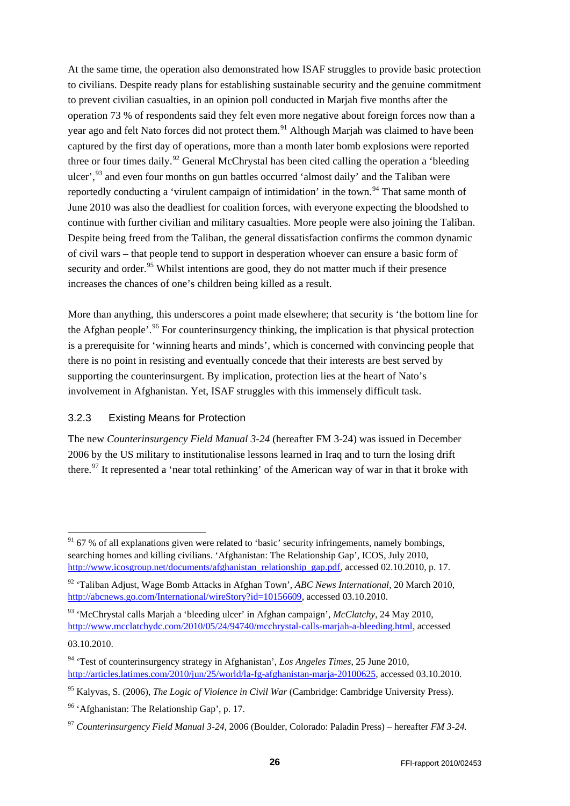At the same time, the operation also demonstrated how ISAF struggles to provide basic protection to civilians. Despite ready plans for establishing sustainable security and the genuine commitment to prevent civilian casualties, in an opinion poll conducted in Marjah five months after the operation 73 % of respondents said they felt even more negative about foreign forces now than a year ago and felt Nato forces did not protect them.<sup>[91](#page-25-1)</sup> Although Marjah was claimed to have been captured by the first day of operations, more than a month later bomb explosions were reported three or four times daily.<sup>[92](#page-25-2)</sup> General McChrystal has been cited calling the operation a 'bleeding ulcer', <sup>[93](#page-25-3)</sup> and even four months on gun battles occurred 'almost daily' and the Taliban were reportedly conducting a 'virulent campaign of intimidation' in the town.<sup>[94](#page-25-4)</sup> That same month of June 2010 was also the deadliest for coalition forces, with everyone expecting the bloodshed to continue with further civilian and military casualties. More people were also joining the Taliban. Despite being freed from the Taliban, the general dissatisfaction confirms the common dynamic of civil wars – that people tend to support in desperation whoever can ensure a basic form of security and order.<sup>[95](#page-25-5)</sup> Whilst intentions are good, they do not matter much if their presence increases the chances of one's children being killed as a result.

More than anything, this underscores a point made elsewhere; that security is 'the bottom line for the Afghan people'.<sup>[96](#page-25-6)</sup> For counterinsurgency thinking, the implication is that physical protection is a prerequisite for 'winning hearts and minds', which is concerned with convincing people that there is no point in resisting and eventually concede that their interests are best served by supporting the counterinsurgent. By implication, protection lies at the heart of Nato's involvement in Afghanistan. Yet, ISAF struggles with this immensely difficult task.

#### <span id="page-25-0"></span>3.2.3 Existing Means for Protection

The new *Counterinsurgency Field Manual 3-24* (hereafter FM 3-24) was issued in December 2006 by the US military to institutionalise lessons learned in Iraq and to turn the losing drift there.<sup>[97](#page-25-7)</sup> It represented a 'near total rethinking' of the American way of war in that it broke with

<span id="page-25-1"></span> $91\,67\%$  of all explanations given were related to 'basic' security infringements, namely bombings, searching homes and killing civilians. 'Afghanistan: The Relationship Gap', ICOS, July 2010, [http://www.icosgroup.net/documents/afghanistan\\_relationship\\_gap.pdf,](http://www.icosgroup.net/documents/afghanistan_relationship_gap.pdf) accessed 02.10.2010, p. 17.

<span id="page-25-2"></span><sup>92</sup> 'Taliban Adjust, Wage Bomb Attacks in Afghan Town', *ABC News International*, 20 March 2010, [http://abcnews.go.com/International/wireStory?id=10156609,](http://abcnews.go.com/International/wireStory?id=10156609) accessed 03.10.2010.

<span id="page-25-3"></span><sup>93</sup> 'McChrystal calls Marjah a 'bleeding ulcer' in Afghan campaign', *McClatchy*, 24 May 2010, [http://www.mcclatchydc.com/2010/05/24/94740/mcchrystal-calls-marjah-a-bleeding.html,](http://www.mcclatchydc.com/2010/05/24/94740/mcchrystal-calls-marjah-a-bleeding.html) accessed

<sup>03.10.2010.</sup>

<span id="page-25-4"></span><sup>94</sup> 'Test of counterinsurgency strategy in Afghanistan', *Los Angeles Times*, 25 June 2010, [http://articles.latimes.com/2010/jun/25/world/la-fg-afghanistan-marja-20100625,](http://articles.latimes.com/2010/jun/25/world/la-fg-afghanistan-marja-20100625) accessed 03.10.2010.

<span id="page-25-5"></span><sup>95</sup> Kalyvas, S. (2006), *The Logic of Violence in Civil War* (Cambridge: Cambridge University Press).

<span id="page-25-6"></span><sup>96</sup> 'Afghanistan: The Relationship Gap', p. 17.

<span id="page-25-7"></span><sup>97</sup> *Counterinsurgency Field Manual 3-24*, 2006 (Boulder, Colorado: Paladin Press) – hereafter *FM 3-24.*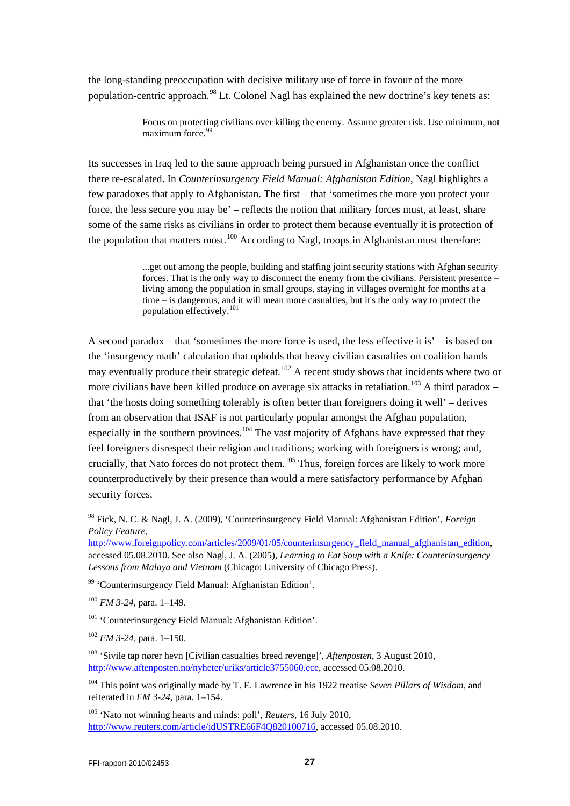the long-standing preoccupation with decisive military use of force in favour of the more population-centric approach.<sup>[98](#page-26-0)</sup> Lt. Colonel Nagl has explained the new doctrine's key tenets as:

> Focus on protecting civilians over killing the enemy. Assume greater risk. Use minimum, not  $maximum$  force.<sup>[99](#page-26-1)</sup>

Its successes in Iraq led to the same approach being pursued in Afghanistan once the conflict there re-escalated. In *Counterinsurgency Field Manual: Afghanistan Edition*, Nagl highlights a few paradoxes that apply to Afghanistan. The first – that 'sometimes the more you protect your force, the less secure you may be' – reflects the notion that military forces must, at least, share some of the same risks as civilians in order to protect them because eventually it is protection of the population that matters most.<sup>[100](#page-26-2)</sup> According to Nagl, troops in Afghanistan must therefore:

> ...get out among the people, building and staffing joint security stations with Afghan security forces. That is the only way to disconnect the enemy from the civilians. Persistent presence – living among the population in small groups, staying in villages overnight for months at a time – is dangerous, and it will mean more casualties, but it's the only way to protect the population effectively.<sup>[101](#page-26-3)</sup>

A second paradox – that 'sometimes the more force is used, the less effective it is' – is based on the 'insurgency math' calculation that upholds that heavy civilian casualties on coalition hands may eventually produce their strategic defeat.<sup>[102](#page-26-4)</sup> A recent study shows that incidents where two or more civilians have been killed produce on average six attacks in retaliation.<sup>[103](#page-26-5)</sup> A third paradox – that 'the hosts doing something tolerably is often better than foreigners doing it well' – derives from an observation that ISAF is not particularly popular amongst the Afghan population, especially in the southern provinces.<sup>[104](#page-26-6)</sup> The vast majority of Afghans have expressed that they feel foreigners disrespect their religion and traditions; working with foreigners is wrong; and, crucially, that Nato forces do not protect them.<sup>[105](#page-26-7)</sup> Thus, foreign forces are likely to work more counterproductively by their presence than would a mere satisfactory performance by Afghan security forces.

<span id="page-26-2"></span><sup>100</sup> *FM 3-24*, para. 1–149.

<span id="page-26-3"></span><sup>101</sup> 'Counterinsurgency Field Manual: Afghanistan Edition'.

<span id="page-26-4"></span><sup>102</sup> *FM 3-24*, para. 1–150.

<span id="page-26-7"></span><sup>105</sup> 'Nato not winning hearts and minds: poll', *Reuters*, 16 July 2010, [http://www.reuters.com/article/idUSTRE66F4Q820100716,](http://www.reuters.com/article/idUSTRE66F4Q820100716) accessed 05.08.2010.

<span id="page-26-0"></span> <sup>98</sup> Fick, N. C. & Nagl, J. A. (2009), 'Counterinsurgency Field Manual: Afghanistan Edition', *Foreign Policy Feature*,

[http://www.foreignpolicy.com/articles/2009/01/05/counterinsurgency\\_field\\_manual\\_afghanistan\\_edition,](http://www.foreignpolicy.com/articles/2009/01/05/counterinsurgency_field_manual_afghanistan_edition) accessed 05.08.2010. See also Nagl, J. A. (2005), *Learning to Eat Soup with a Knife: Counterinsurgency Lessons from Malaya and Vietnam* (Chicago: University of Chicago Press).

<span id="page-26-1"></span><sup>99</sup> 'Counterinsurgency Field Manual: Afghanistan Edition'.

<span id="page-26-5"></span><sup>103</sup> 'Sivile tap nører hevn [Civilian casualties breed revenge]', *Aftenposten*, 3 August 2010, [http://www.aftenposten.no/nyheter/uriks/article3755060.ece,](http://www.aftenposten.no/nyheter/uriks/article3755060.ece) accessed 05.08.2010.

<span id="page-26-6"></span><sup>104</sup> This point was originally made by T. E. Lawrence in his 1922 treatise *Seven Pillars of Wisdom*, and reiterated in *FM 3-24*, para. 1–154.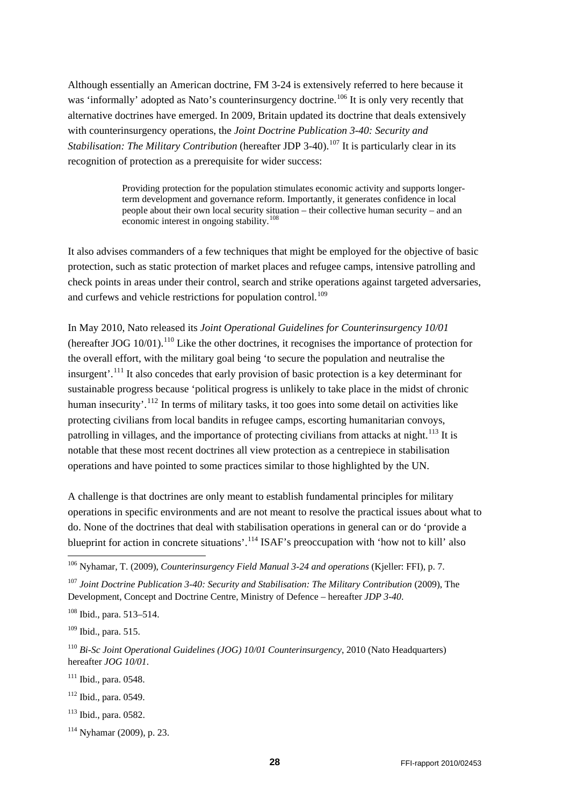Although essentially an American doctrine, FM 3-24 is extensively referred to here because it was 'informally' adopted as Nato's counterinsurgency doctrine.<sup>[106](#page-27-0)</sup> It is only very recently that alternative doctrines have emerged. In 2009, Britain updated its doctrine that deals extensively with counterinsurgency operations, the *Joint Doctrine Publication 3-40: Security and Stabilisation: The Military Contribution* (hereafter JDP 3-40).<sup>[107](#page-27-1)</sup> It is particularly clear in its recognition of protection as a prerequisite for wider success:

> Providing protection for the population stimulates economic activity and supports longerterm development and governance reform. Importantly, it generates confidence in local people about their own local security situation – their collective human security – and an economic interest in ongoing stability.<sup>[108](#page-27-2)</sup>

It also advises commanders of a few techniques that might be employed for the objective of basic protection, such as static protection of market places and refugee camps, intensive patrolling and check points in areas under their control, search and strike operations against targeted adversaries, and curfews and vehicle restrictions for population control.<sup>[109](#page-27-3)</sup>

In May 2010, Nato released its *Joint Operational Guidelines for Counterinsurgency 10/01* (hereafter JOG  $10/01$ ).<sup>[110](#page-27-4)</sup> Like the other doctrines, it recognises the importance of protection for the overall effort, with the military goal being 'to secure the population and neutralise the insurgent'.[111](#page-27-5) It also concedes that early provision of basic protection is a key determinant for sustainable progress because 'political progress is unlikely to take place in the midst of chronic human insecurity'.<sup>[112](#page-27-6)</sup> In terms of military tasks, it too goes into some detail on activities like protecting civilians from local bandits in refugee camps, escorting humanitarian convoys, patrolling in villages, and the importance of protecting civilians from attacks at night.<sup>[113](#page-27-7)</sup> It is notable that these most recent doctrines all view protection as a centrepiece in stabilisation operations and have pointed to some practices similar to those highlighted by the UN.

A challenge is that doctrines are only meant to establish fundamental principles for military operations in specific environments and are not meant to resolve the practical issues about what to do. None of the doctrines that deal with stabilisation operations in general can or do 'provide a blueprint for action in concrete situations'.<sup>[114](#page-27-8)</sup> ISAF's preoccupation with 'how not to kill' also

<span id="page-27-7"></span><sup>113</sup> Ibid., para. 0582.

<span id="page-27-0"></span> <sup>106</sup> Nyhamar, T. (2009), *Counterinsurgency Field Manual 3-24 and operations* (Kjeller: FFI), p. 7.

<span id="page-27-1"></span><sup>107</sup> *Joint Doctrine Publication 3-40: Security and Stabilisation: The Military Contribution* (2009), The Development, Concept and Doctrine Centre, Ministry of Defence – hereafter *JDP 3-40*.

<span id="page-27-2"></span><sup>108</sup> Ibid., para. 513–514.

<span id="page-27-3"></span><sup>109</sup> Ibid., para. 515.

<span id="page-27-4"></span><sup>110</sup> *Bi-Sc Joint Operational Guidelines (JOG) 10/01 Counterinsurgency*, 2010 (Nato Headquarters) hereafter *JOG 10/01*.

<span id="page-27-5"></span> $111$  Ibid., para. 0548.

<span id="page-27-6"></span><sup>112</sup> Ibid., para. 0549.

<span id="page-27-8"></span><sup>114</sup> Nyhamar (2009), p. 23.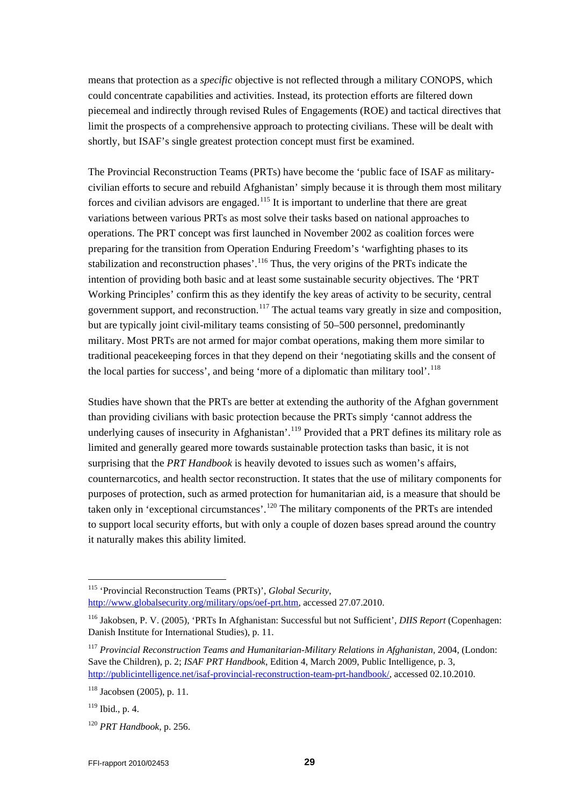means that protection as a *specific* objective is not reflected through a military CONOPS, which could concentrate capabilities and activities. Instead, its protection efforts are filtered down piecemeal and indirectly through revised Rules of Engagements (ROE) and tactical directives that limit the prospects of a comprehensive approach to protecting civilians. These will be dealt with shortly, but ISAF's single greatest protection concept must first be examined.

The Provincial Reconstruction Teams (PRTs) have become the 'public face of ISAF as militarycivilian efforts to secure and rebuild Afghanistan' simply because it is through them most military forces and civilian advisors are engaged.<sup>[115](#page-28-0)</sup> It is important to underline that there are great variations between various PRTs as most solve their tasks based on national approaches to operations. The PRT concept was first launched in November 2002 as coalition forces were preparing for the transition from Operation Enduring Freedom's 'warfighting phases to its stabilization and reconstruction phases'.<sup>[116](#page-28-1)</sup> Thus, the very origins of the PRTs indicate the intention of providing both basic and at least some sustainable security objectives. The 'PRT Working Principles' confirm this as they identify the key areas of activity to be security, central government support, and reconstruction.<sup>[117](#page-28-2)</sup> The actual teams vary greatly in size and composition, but are typically joint civil-military teams consisting of 50–500 personnel, predominantly military. Most PRTs are not armed for major combat operations, making them more similar to traditional peacekeeping forces in that they depend on their 'negotiating skills and the consent of the local parties for success', and being 'more of a diplomatic than military tool'.<sup>[118](#page-28-3)</sup>

Studies have shown that the PRTs are better at extending the authority of the Afghan government than providing civilians with basic protection because the PRTs simply 'cannot address the underlying causes of insecurity in Afghanistan'.<sup>[119](#page-28-4)</sup> Provided that a PRT defines its military role as limited and generally geared more towards sustainable protection tasks than basic, it is not surprising that the *PRT Handbook* is heavily devoted to issues such as women's affairs, counternarcotics, and health sector reconstruction. It states that the use of military components for purposes of protection, such as armed protection for humanitarian aid, is a measure that should be taken only in 'exceptional circumstances'.<sup>[120](#page-28-5)</sup> The military components of the PRTs are intended to support local security efforts, but with only a couple of dozen bases spread around the country it naturally makes this ability limited.

<span id="page-28-0"></span> <sup>115</sup> 'Provincial Reconstruction Teams (PRTs)', *Global Security*,

[http://www.globalsecurity.org/military/ops/oef-prt.htm,](http://www.globalsecurity.org/military/ops/oef-prt.htm) accessed 27.07.2010.

<span id="page-28-1"></span><sup>116</sup> Jakobsen, P. V. (2005), 'PRTs In Afghanistan: Successful but not Sufficient', *DIIS Report* (Copenhagen: Danish Institute for International Studies), p. 11.

<span id="page-28-2"></span><sup>117</sup> *Provincial Reconstruction Teams and Humanitarian-Military Relations in Afghanistan,* 2004, (London: Save the Children), p. 2; *ISAF PRT Handbook*, Edition 4, March 2009, Public Intelligence, p. 3, [http://publicintelligence.net/isaf-provincial-reconstruction-team-prt-handbook/,](http://publicintelligence.net/isaf-provincial-reconstruction-team-prt-handbook/) accessed 02.10.2010.

<span id="page-28-3"></span><sup>118</sup> Jacobsen (2005), p. 11.

<span id="page-28-4"></span> $119$  Ibid., p. 4.

<span id="page-28-5"></span><sup>120</sup> *PRT Handbook*, p. 256.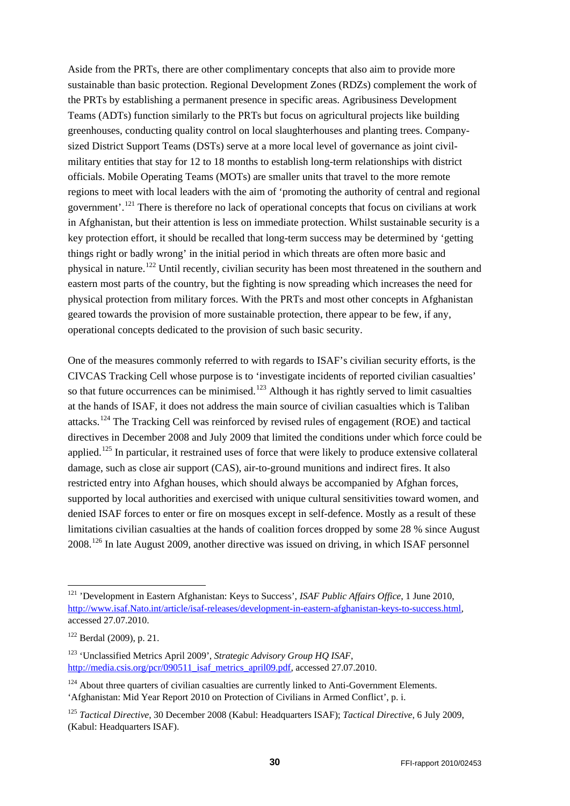Aside from the PRTs, there are other complimentary concepts that also aim to provide more sustainable than basic protection. Regional Development Zones (RDZs) complement the work of the PRTs by establishing a permanent presence in specific areas. Agribusiness Development Teams (ADTs) function similarly to the PRTs but focus on agricultural projects like building greenhouses, conducting quality control on local slaughterhouses and planting trees. Companysized District Support Teams (DSTs) serve at a more local level of governance as joint civilmilitary entities that stay for 12 to 18 months to establish long-term relationships with district officials. Mobile Operating Teams (MOTs) are smaller units that travel to the more remote regions to meet with local leaders with the aim of 'promoting the authority of central and regional government'.<sup>[121](#page-29-0)</sup> There is therefore no lack of operational concepts that focus on civilians at work in Afghanistan, but their attention is less on immediate protection. Whilst sustainable security is a key protection effort, it should be recalled that long-term success may be determined by 'getting things right or badly wrong' in the initial period in which threats are often more basic and physical in nature.[122](#page-29-1) Until recently, civilian security has been most threatened in the southern and eastern most parts of the country, but the fighting is now spreading which increases the need for physical protection from military forces. With the PRTs and most other concepts in Afghanistan geared towards the provision of more sustainable protection, there appear to be few, if any, operational concepts dedicated to the provision of such basic security.

One of the measures commonly referred to with regards to ISAF's civilian security efforts, is the CIVCAS Tracking Cell whose purpose is to 'investigate incidents of reported civilian casualties' so that future occurrences can be minimised.<sup>[123](#page-29-2)</sup> Although it has rightly served to limit casualties at the hands of ISAF, it does not address the main source of civilian casualties which is Taliban attacks.[124](#page-29-3) The Tracking Cell was reinforced by revised rules of engagement (ROE) and tactical directives in December 2008 and July 2009 that limited the conditions under which force could be applied.<sup>[125](#page-29-4)</sup> In particular, it restrained uses of force that were likely to produce extensive collateral damage, such as close air support (CAS), air-to-ground munitions and indirect fires. It also restricted entry into Afghan houses, which should always be accompanied by Afghan forces, supported by local authorities and exercised with unique cultural sensitivities toward women, and denied ISAF forces to enter or fire on mosques except in self-defence. Mostly as a result of these limitations civilian casualties at the hands of coalition forces dropped by some 28 % since August 2008.<sup>[126](#page-29-5)</sup> In late August 2009, another directive was issued on driving, in which ISAF personnel

<span id="page-29-5"></span><span id="page-29-0"></span> <sup>121</sup> 'Development in Eastern Afghanistan: Keys to Success', *ISAF Public Affairs Office*, 1 June 2010, [http://www.isaf.Nato.int/article/isaf-releases/development-in-eastern-afghanistan-keys-to-success.html,](http://www.isaf.nato.int/article/isaf-releases/development-in-eastern-afghanistan-keys-to-success.html) accessed 27.07.2010.

<span id="page-29-1"></span><sup>122</sup> Berdal (2009), p. 21.

<span id="page-29-2"></span><sup>123</sup> 'Unclassified Metrics April 2009', *Strategic Advisory Group HQ ISAF*, [http://media.csis.org/pcr/090511\\_isaf\\_metrics\\_april09.pdf,](http://media.csis.org/pcr/090511_isaf_metrics_april09.pdf) accessed 27.07.2010.

<span id="page-29-3"></span> $124$  About three quarters of civilian casualties are currently linked to Anti-Government Elements. 'Afghanistan: Mid Year Report 2010 on Protection of Civilians in Armed Conflict', p. i.

<span id="page-29-4"></span><sup>125</sup> *Tactical Directive*, 30 December 2008 (Kabul: Headquarters ISAF); *Tactical Directive*, 6 July 2009, (Kabul: Headquarters ISAF).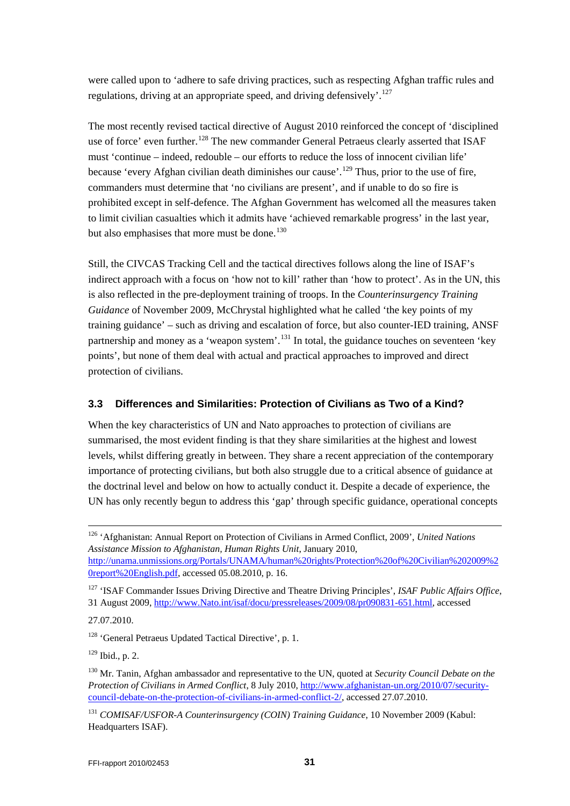were called upon to 'adhere to safe driving practices, such as respecting Afghan traffic rules and regulations, driving at an appropriate speed, and driving defensively'.<sup>[127](#page-30-1)</sup>

The most recently revised tactical directive of August 2010 reinforced the concept of 'disciplined use of force' even further.<sup>[128](#page-30-2)</sup> The new commander General Petraeus clearly asserted that ISAF must 'continue – indeed, redouble – our efforts to reduce the loss of innocent civilian life' because 'every Afghan civilian death diminishes our cause'.<sup>[129](#page-30-3)</sup> Thus, prior to the use of fire, commanders must determine that 'no civilians are present', and if unable to do so fire is prohibited except in self-defence. The Afghan Government has welcomed all the measures taken to limit civilian casualties which it admits have 'achieved remarkable progress' in the last year, but also emphasises that more must be done.<sup>[130](#page-30-4)</sup>

Still, the CIVCAS Tracking Cell and the tactical directives follows along the line of ISAF's indirect approach with a focus on 'how not to kill' rather than 'how to protect'. As in the UN, this is also reflected in the pre-deployment training of troops. In the *Counterinsurgency Training Guidance* of November 2009, McChrystal highlighted what he called 'the key points of my training guidance' – such as driving and escalation of force, but also counter-IED training, ANSF partnership and money as a 'weapon system'.<sup>[131](#page-30-5)</sup> In total, the guidance touches on seventeen 'key points', but none of them deal with actual and practical approaches to improved and direct protection of civilians.

### <span id="page-30-0"></span>**3.3 Differences and Similarities: Protection of Civilians as Two of a Kind?**

When the key characteristics of UN and Nato approaches to protection of civilians are summarised, the most evident finding is that they share similarities at the highest and lowest levels, whilst differing greatly in between. They share a recent appreciation of the contemporary importance of protecting civilians, but both also struggle due to a critical absence of guidance at the doctrinal level and below on how to actually conduct it. Despite a decade of experience, the UN has only recently begun to address this 'gap' through specific guidance, operational concepts

[http://unama.unmissions.org/Portals/UNAMA/human%20rights/Protection%20of%20Civilian%202009%2](http://unama.unmissions.org/Portals/UNAMA/human%20rights/Protection%20of%20Civilian%202009%20report%20English.pdf) [0report%20English.pdf,](http://unama.unmissions.org/Portals/UNAMA/human%20rights/Protection%20of%20Civilian%202009%20report%20English.pdf) accessed 05.08.2010, p. 16.

27.07.2010.

<span id="page-30-2"></span><sup>128</sup> 'General Petraeus Updated Tactical Directive', p. 1.

<span id="page-30-3"></span><sup>129</sup> Ibid., p. 2.

 <sup>126</sup> 'Afghanistan: Annual Report on Protection of Civilians in Armed Conflict, 2009', *United Nations Assistance Mission to Afghanistan, Human Rights Unit*, January 2010,

<span id="page-30-1"></span><sup>127</sup> 'ISAF Commander Issues Driving Directive and Theatre Driving Principles', *ISAF Public Affairs Office*, 31 August 2009, [http://www.Nato.int/isaf/docu/pressreleases/2009/08/pr090831-651.html,](http://www.nato.int/isaf/docu/pressreleases/2009/08/pr090831-651.html) accessed

<span id="page-30-4"></span><sup>130</sup> Mr. Tanin, Afghan ambassador and representative to the UN, quoted at *Security Council Debate on the Protection of Civilians in Armed Conflict*, 8 July 2010, [http://www.afghanistan-un.org/2010/07/security](http://www.afghanistan-un.org/2010/07/security-council-debate-on-the-protection-of-civilians-in-armed-conflict-2/)[council-debate-on-the-protection-of-civilians-in-armed-conflict-2/,](http://www.afghanistan-un.org/2010/07/security-council-debate-on-the-protection-of-civilians-in-armed-conflict-2/) accessed 27.07.2010.

<span id="page-30-5"></span><sup>131</sup> *COMISAF/USFOR-A Counterinsurgency (COIN) Training Guidance*, 10 November 2009 (Kabul: Headquarters ISAF).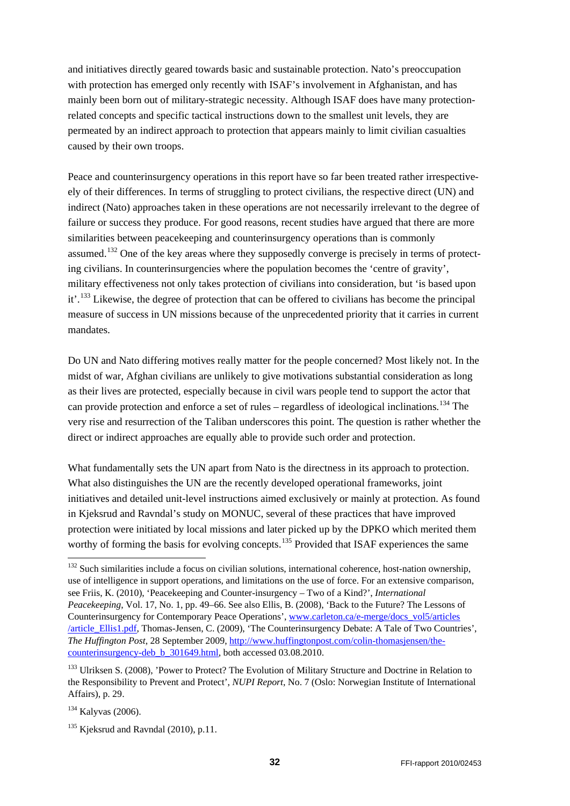and initiatives directly geared towards basic and sustainable protection. Nato's preoccupation with protection has emerged only recently with ISAF's involvement in Afghanistan, and has mainly been born out of military-strategic necessity. Although ISAF does have many protectionrelated concepts and specific tactical instructions down to the smallest unit levels, they are permeated by an indirect approach to protection that appears mainly to limit civilian casualties caused by their own troops.

Peace and counterinsurgency operations in this report have so far been treated rather irrespectiveely of their differences. In terms of struggling to protect civilians, the respective direct (UN) and indirect (Nato) approaches taken in these operations are not necessarily irrelevant to the degree of failure or success they produce. For good reasons, recent studies have argued that there are more similarities between peacekeeping and counterinsurgency operations than is commonly assumed.<sup>[132](#page-31-0)</sup> One of the key areas where they supposedly converge is precisely in terms of protecting civilians. In counterinsurgencies where the population becomes the 'centre of gravity', military effectiveness not only takes protection of civilians into consideration, but 'is based upon it'.[133](#page-31-1) Likewise, the degree of protection that can be offered to civilians has become the principal measure of success in UN missions because of the unprecedented priority that it carries in current mandates.

Do UN and Nato differing motives really matter for the people concerned? Most likely not. In the midst of war, Afghan civilians are unlikely to give motivations substantial consideration as long as their lives are protected, especially because in civil wars people tend to support the actor that can provide protection and enforce a set of rules – regardless of ideological inclinations. [134](#page-31-2) The very rise and resurrection of the Taliban underscores this point. The question is rather whether the direct or indirect approaches are equally able to provide such order and protection.

What fundamentally sets the UN apart from Nato is the directness in its approach to protection. What also distinguishes the UN are the recently developed operational frameworks, joint initiatives and detailed unit-level instructions aimed exclusively or mainly at protection. As found in Kjeksrud and Ravndal's study on MONUC, several of these practices that have improved protection were initiated by local missions and later picked up by the DPKO which merited them worthy of forming the basis for evolving concepts.<sup>[135](#page-31-3)</sup> Provided that ISAF experiences the same

<span id="page-31-0"></span><sup>&</sup>lt;sup>132</sup> Such similarities include a focus on civilian solutions, international coherence, host-nation ownership, use of intelligence in support operations, and limitations on the use of force. For an extensive comparison, see Friis, K. (2010), 'Peacekeeping and Counter-insurgency – Two of a Kind?', *International Peacekeeping*, Vol. 17, No. 1, pp. 49–66. See also Ellis, B. (2008), 'Back to the Future? The Lessons of Counterinsurgency for Contemporary Peace Operations', www.carleton.ca/e-merge/docs\_vol5/articles [/article\\_Ellis1.pdf,](http://www.carleton.ca/e-merge/docs_vol5/articles%20/article_Ellis1.pdf) Thomas-Jensen, C. (2009), 'The Counterinsurgency Debate: A Tale of Two Countries', *The Huffington Post*, 28 September 2009, [http://www.huffingtonpost.com/colin-thomasjensen/the](http://www.huffingtonpost.com/colin-thomasjensen/the-counterinsurgency-deb_b_301649.html)[counterinsurgency-deb\\_b\\_301649.html,](http://www.huffingtonpost.com/colin-thomasjensen/the-counterinsurgency-deb_b_301649.html) both accessed 03.08.2010.

<span id="page-31-1"></span><sup>&</sup>lt;sup>133</sup> Ulriksen S. (2008), 'Power to Protect? The Evolution of Military Structure and Doctrine in Relation to the Responsibility to Prevent and Protect', *NUPI Report*, No. 7 (Oslo: Norwegian Institute of International Affairs), p. 29.

<span id="page-31-2"></span><sup>134</sup> Kalyvas (2006).

<span id="page-31-3"></span> $135$  Kieksrud and Ravndal (2010), p.11.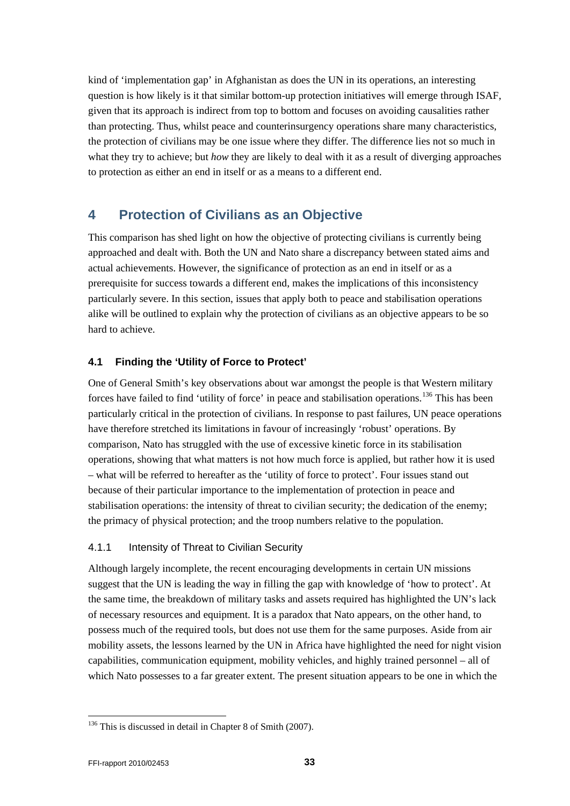kind of 'implementation gap' in Afghanistan as does the UN in its operations, an interesting question is how likely is it that similar bottom-up protection initiatives will emerge through ISAF, given that its approach is indirect from top to bottom and focuses on avoiding causalities rather than protecting. Thus, whilst peace and counterinsurgency operations share many characteristics, the protection of civilians may be one issue where they differ. The difference lies not so much in what they try to achieve; but *how* they are likely to deal with it as a result of diverging approaches to protection as either an end in itself or as a means to a different end.

## <span id="page-32-0"></span>**4 Protection of Civilians as an Objective**

This comparison has shed light on how the objective of protecting civilians is currently being approached and dealt with. Both the UN and Nato share a discrepancy between stated aims and actual achievements. However, the significance of protection as an end in itself or as a prerequisite for success towards a different end, makes the implications of this inconsistency particularly severe. In this section, issues that apply both to peace and stabilisation operations alike will be outlined to explain why the protection of civilians as an objective appears to be so hard to achieve.

### <span id="page-32-1"></span>**4.1 Finding the 'Utility of Force to Protect'**

One of General Smith's key observations about war amongst the people is that Western military forces have failed to find 'utility of force' in peace and stabilisation operations.<sup>[136](#page-32-3)</sup> This has been particularly critical in the protection of civilians. In response to past failures, UN peace operations have therefore stretched its limitations in favour of increasingly 'robust' operations. By comparison, Nato has struggled with the use of excessive kinetic force in its stabilisation operations, showing that what matters is not how much force is applied, but rather how it is used – what will be referred to hereafter as the 'utility of force to protect'. Four issues stand out because of their particular importance to the implementation of protection in peace and stabilisation operations: the intensity of threat to civilian security; the dedication of the enemy; the primacy of physical protection; and the troop numbers relative to the population.

### <span id="page-32-2"></span>4.1.1 Intensity of Threat to Civilian Security

Although largely incomplete, the recent encouraging developments in certain UN missions suggest that the UN is leading the way in filling the gap with knowledge of 'how to protect'. At the same time, the breakdown of military tasks and assets required has highlighted the UN's lack of necessary resources and equipment. It is a paradox that Nato appears, on the other hand, to possess much of the required tools, but does not use them for the same purposes. Aside from air mobility assets, the lessons learned by the UN in Africa have highlighted the need for night vision capabilities, communication equipment, mobility vehicles, and highly trained personnel – all of which Nato possesses to a far greater extent. The present situation appears to be one in which the

<span id="page-32-3"></span><sup>&</sup>lt;sup>136</sup> This is discussed in detail in Chapter 8 of Smith (2007).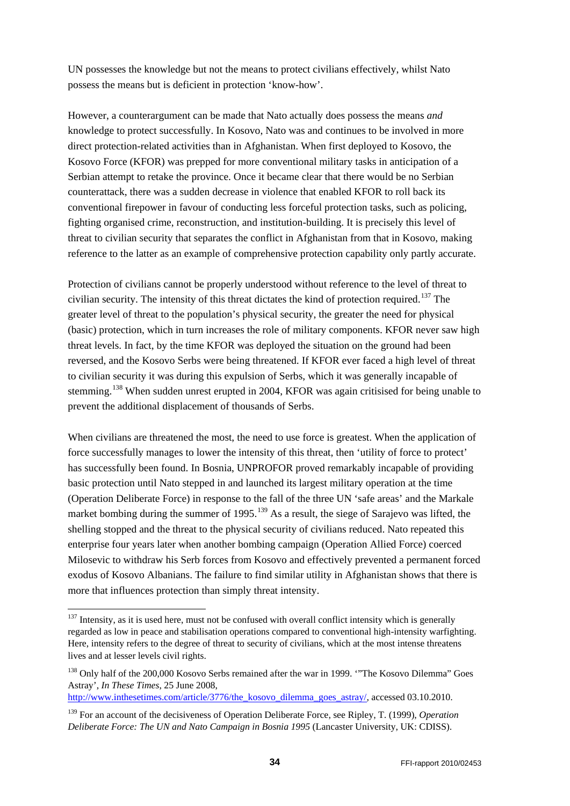UN possesses the knowledge but not the means to protect civilians effectively, whilst Nato possess the means but is deficient in protection 'know-how'.

However, a counterargument can be made that Nato actually does possess the means *and* knowledge to protect successfully. In Kosovo, Nato was and continues to be involved in more direct protection-related activities than in Afghanistan. When first deployed to Kosovo, the Kosovo Force (KFOR) was prepped for more conventional military tasks in anticipation of a Serbian attempt to retake the province. Once it became clear that there would be no Serbian counterattack, there was a sudden decrease in violence that enabled KFOR to roll back its conventional firepower in favour of conducting less forceful protection tasks, such as policing, fighting organised crime, reconstruction, and institution-building. It is precisely this level of threat to civilian security that separates the conflict in Afghanistan from that in Kosovo, making reference to the latter as an example of comprehensive protection capability only partly accurate.

Protection of civilians cannot be properly understood without reference to the level of threat to civilian security. The intensity of this threat dictates the kind of protection required.<sup>[137](#page-33-0)</sup> The greater level of threat to the population's physical security, the greater the need for physical (basic) protection, which in turn increases the role of military components. KFOR never saw high threat levels. In fact, by the time KFOR was deployed the situation on the ground had been reversed, and the Kosovo Serbs were being threatened. If KFOR ever faced a high level of threat to civilian security it was during this expulsion of Serbs, which it was generally incapable of stemming.<sup>[138](#page-33-1)</sup> When sudden unrest erupted in 2004, KFOR was again critisised for being unable to prevent the additional displacement of thousands of Serbs.

When civilians are threatened the most, the need to use force is greatest. When the application of force successfully manages to lower the intensity of this threat, then 'utility of force to protect' has successfully been found. In Bosnia, UNPROFOR proved remarkably incapable of providing basic protection until Nato stepped in and launched its largest military operation at the time (Operation Deliberate Force) in response to the fall of the three UN 'safe areas' and the Markale market bombing during the summer of  $1995$ .<sup>[139](#page-33-2)</sup> As a result, the siege of Sarajevo was lifted, the shelling stopped and the threat to the physical security of civilians reduced. Nato repeated this enterprise four years later when another bombing campaign (Operation Allied Force) coerced Milosevic to withdraw his Serb forces from Kosovo and effectively prevented a permanent forced exodus of Kosovo Albanians. The failure to find similar utility in Afghanistan shows that there is more that influences protection than simply threat intensity.

<span id="page-33-0"></span> $137$  Intensity, as it is used here, must not be confused with overall conflict intensity which is generally regarded as low in peace and stabilisation operations compared to conventional high-intensity warfighting. Here, intensity refers to the degree of threat to security of civilians, which at the most intense threatens lives and at lesser levels civil rights.

<span id="page-33-1"></span><sup>&</sup>lt;sup>138</sup> Only half of the 200,000 Kosovo Serbs remained after the war in 1999. "The Kosovo Dilemma" Goes Astray', *In These Times*, 25 June 2008,

[http://www.inthesetimes.com/article/3776/the\\_kosovo\\_dilemma\\_goes\\_astray/,](http://www.inthesetimes.com/article/3776/the_kosovo_dilemma_goes_astray/) accessed 03.10.2010.

<span id="page-33-2"></span><sup>139</sup> For an account of the decisiveness of Operation Deliberate Force, see Ripley, T. (1999), *Operation Deliberate Force: The UN and Nato Campaign in Bosnia 1995* (Lancaster University, UK: CDISS).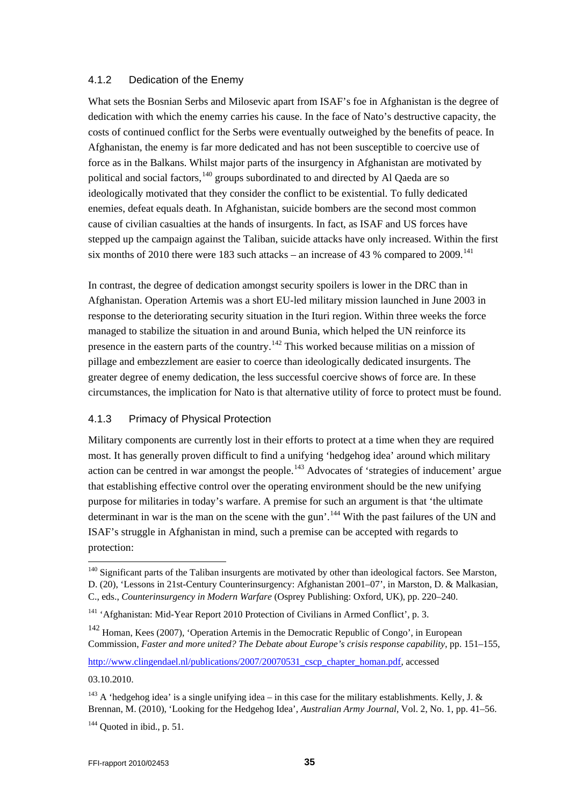#### <span id="page-34-0"></span>4.1.2 Dedication of the Enemy

What sets the Bosnian Serbs and Milosevic apart from ISAF's foe in Afghanistan is the degree of dedication with which the enemy carries his cause. In the face of Nato's destructive capacity, the costs of continued conflict for the Serbs were eventually outweighed by the benefits of peace. In Afghanistan, the enemy is far more dedicated and has not been susceptible to coercive use of force as in the Balkans. Whilst major parts of the insurgency in Afghanistan are motivated by political and social factors,<sup>[140](#page-34-2)</sup> groups subordinated to and directed by Al Qaeda are so ideologically motivated that they consider the conflict to be existential. To fully dedicated enemies, defeat equals death. In Afghanistan, suicide bombers are the second most common cause of civilian casualties at the hands of insurgents. In fact, as ISAF and US forces have stepped up the campaign against the Taliban, suicide attacks have only increased. Within the first six months of 2010 there were 183 such attacks – an increase of 43 % compared to 2009.<sup>[141](#page-34-3)</sup>

In contrast, the degree of dedication amongst security spoilers is lower in the DRC than in Afghanistan. Operation Artemis was a short EU-led military mission launched in June 2003 in response to the deteriorating security situation in the Ituri region. Within three weeks the force managed to stabilize the situation in and around Bunia, which helped the UN reinforce its presence in the eastern parts of the country.<sup>[142](#page-34-4)</sup> This worked because militias on a mission of pillage and embezzlement are easier to coerce than ideologically dedicated insurgents. The greater degree of enemy dedication, the less successful coercive shows of force are. In these circumstances, the implication for Nato is that alternative utility of force to protect must be found.

#### <span id="page-34-1"></span>4.1.3 Primacy of Physical Protection

Military components are currently lost in their efforts to protect at a time when they are required most. It has generally proven difficult to find a unifying 'hedgehog idea' around which military action can be centred in war amongst the people.<sup>[143](#page-34-5)</sup> Advocates of 'strategies of inducement' argue that establishing effective control over the operating environment should be the new unifying purpose for militaries in today's warfare. A premise for such an argument is that 'the ultimate determinant in war is the man on the scene with the gun'.<sup>[144](#page-34-6)</sup> With the past failures of the UN and ISAF's struggle in Afghanistan in mind, such a premise can be accepted with regards to protection:

[http://www.clingendael.nl/publications/2007/20070531\\_cscp\\_chapter\\_homan.pdf,](http://www.clingendael.nl/publications/2007/20070531_cscp_chapter_homan.pdf) accessed

03.10.2010.

<span id="page-34-2"></span><sup>&</sup>lt;sup>140</sup> Significant parts of the Taliban insurgents are motivated by other than ideological factors. See Marston, D. (20), 'Lessons in 21st-Century Counterinsurgency: Afghanistan 2001–07', in Marston, D. & Malkasian,

C., eds., *Counterinsurgency in Modern Warfare* (Osprey Publishing: Oxford, UK), pp. 220–240.

<span id="page-34-3"></span><sup>&</sup>lt;sup>141</sup> 'Afghanistan: Mid-Year Report 2010 Protection of Civilians in Armed Conflict', p. 3.

<span id="page-34-4"></span><sup>&</sup>lt;sup>142</sup> Homan, Kees (2007), 'Operation Artemis in the Democratic Republic of Congo', in European Commission, *Faster and more united? The Debate about Europe's crisis response capability*, pp. 151–155,

<span id="page-34-6"></span><span id="page-34-5"></span><sup>&</sup>lt;sup>143</sup> A 'hedgehog idea' is a single unifying idea – in this case for the military establishments. Kelly, J. & Brennan, M. (2010), 'Looking for the Hedgehog Idea', *Australian Army Journal*, Vol. 2, No. 1, pp. 41–56.  $144$  Ouoted in ibid., p. 51.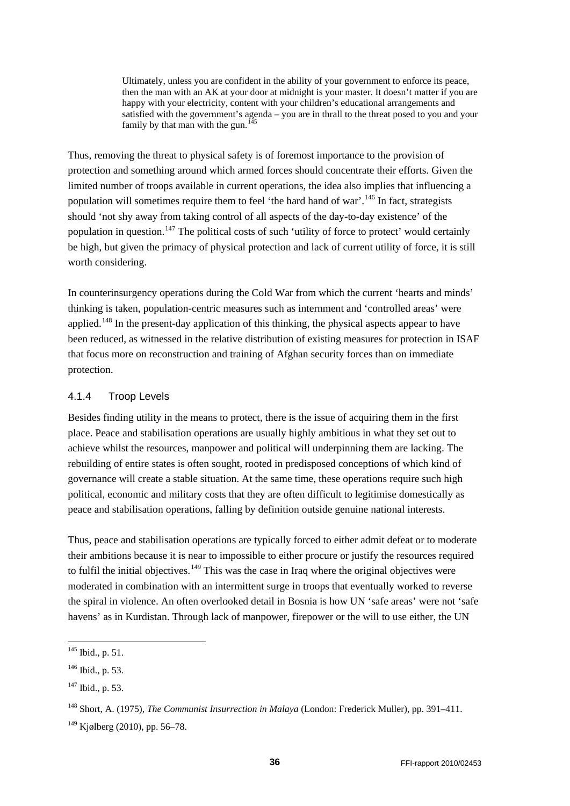Ultimately, unless you are confident in the ability of your government to enforce its peace, then the man with an AK at your door at midnight is your master. It doesn't matter if you are happy with your electricity, content with your children's educational arrangements and satisfied with the government's agenda – you are in thrall to the threat posed to you and your family by that man with the gun.<sup>[145](#page-35-1)</sup>

Thus, removing the threat to physical safety is of foremost importance to the provision of protection and something around which armed forces should concentrate their efforts. Given the limited number of troops available in current operations, the idea also implies that influencing a population will sometimes require them to feel 'the hard hand of war'.[146](#page-35-2) In fact, strategists should 'not shy away from taking control of all aspects of the day-to-day existence' of the population in question.<sup>[147](#page-35-3)</sup> The political costs of such 'utility of force to protect' would certainly be high, but given the primacy of physical protection and lack of current utility of force, it is still worth considering.

In counterinsurgency operations during the Cold War from which the current 'hearts and minds' thinking is taken, population-centric measures such as internment and 'controlled areas' were applied.<sup>[148](#page-35-4)</sup> In the present-day application of this thinking, the physical aspects appear to have been reduced, as witnessed in the relative distribution of existing measures for protection in ISAF that focus more on reconstruction and training of Afghan security forces than on immediate protection.

#### <span id="page-35-0"></span>4.1.4 Troop Levels

Besides finding utility in the means to protect, there is the issue of acquiring them in the first place. Peace and stabilisation operations are usually highly ambitious in what they set out to achieve whilst the resources, manpower and political will underpinning them are lacking. The rebuilding of entire states is often sought, rooted in predisposed conceptions of which kind of governance will create a stable situation. At the same time, these operations require such high political, economic and military costs that they are often difficult to legitimise domestically as peace and stabilisation operations, falling by definition outside genuine national interests.

Thus, peace and stabilisation operations are typically forced to either admit defeat or to moderate their ambitions because it is near to impossible to either procure or justify the resources required to fulfil the initial objectives.<sup>[149](#page-35-5)</sup> This was the case in Iraq where the original objectives were moderated in combination with an intermittent surge in troops that eventually worked to reverse the spiral in violence. An often overlooked detail in Bosnia is how UN 'safe areas' were not 'safe havens' as in Kurdistan. Through lack of manpower, firepower or the will to use either, the UN

<span id="page-35-1"></span> $145$  Ibid., p. 51.

<span id="page-35-2"></span> $146$  Ibid., p. 53.

<span id="page-35-3"></span> $147$  Ibid., p. 53.

<span id="page-35-4"></span><sup>148</sup> Short, A. (1975), *The Communist Insurrection in Malaya* (London: Frederick Muller), pp. 391–411.

<span id="page-35-5"></span><sup>149</sup> Kjølberg (2010), pp. 56–78.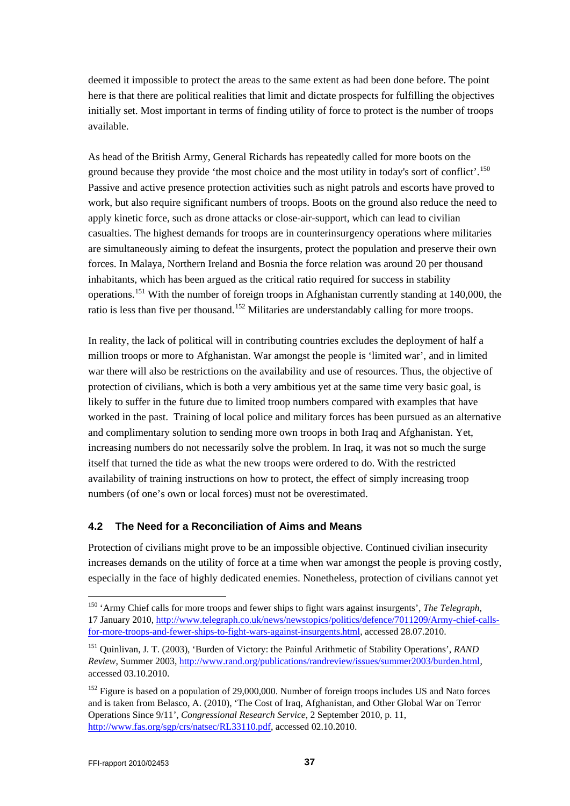deemed it impossible to protect the areas to the same extent as had been done before. The point here is that there are political realities that limit and dictate prospects for fulfilling the objectives initially set. Most important in terms of finding utility of force to protect is the number of troops available.

As head of the British Army, General Richards has repeatedly called for more boots on the ground because they provide 'the most choice and the most utility in today's sort of conflict'.<sup>[150](#page-36-1)</sup> Passive and active presence protection activities such as night patrols and escorts have proved to work, but also require significant numbers of troops. Boots on the ground also reduce the need to apply kinetic force, such as drone attacks or close-air-support, which can lead to civilian casualties. The highest demands for troops are in counterinsurgency operations where militaries are simultaneously aiming to defeat the insurgents, protect the population and preserve their own forces. In Malaya, Northern Ireland and Bosnia the force relation was around 20 per thousand inhabitants, which has been argued as the critical ratio required for success in stability operations.[151](#page-36-2) With the number of foreign troops in Afghanistan currently standing at 140,000, the ratio is less than five per thousand.<sup>[152](#page-36-3)</sup> Militaries are understandably calling for more troops.

In reality, the lack of political will in contributing countries excludes the deployment of half a million troops or more to Afghanistan. War amongst the people is 'limited war', and in limited war there will also be restrictions on the availability and use of resources. Thus, the objective of protection of civilians, which is both a very ambitious yet at the same time very basic goal, is likely to suffer in the future due to limited troop numbers compared with examples that have worked in the past. Training of local police and military forces has been pursued as an alternative and complimentary solution to sending more own troops in both Iraq and Afghanistan. Yet, increasing numbers do not necessarily solve the problem. In Iraq, it was not so much the surge itself that turned the tide as what the new troops were ordered to do. With the restricted availability of training instructions on how to protect, the effect of simply increasing troop numbers (of one's own or local forces) must not be overestimated.

### <span id="page-36-0"></span>**4.2 The Need for a Reconciliation of Aims and Means**

Protection of civilians might prove to be an impossible objective. Continued civilian insecurity increases demands on the utility of force at a time when war amongst the people is proving costly, especially in the face of highly dedicated enemies. Nonetheless, protection of civilians cannot yet

<span id="page-36-1"></span> <sup>150</sup> 'Army Chief calls for more troops and fewer ships to fight wars against insurgents', *The Telegraph*, 17 January 2010, [http://www.telegraph.co.uk/news/newstopics/politics/defence/7011209/Army-chief-calls](http://www.telegraph.co.uk/news/newstopics/politics/defence/7011209/Army-chief-calls-for-more-troops-and-fewer-ships-to-fight-wars-against-insurgents.html)[for-more-troops-and-fewer-ships-to-fight-wars-against-insurgents.html,](http://www.telegraph.co.uk/news/newstopics/politics/defence/7011209/Army-chief-calls-for-more-troops-and-fewer-ships-to-fight-wars-against-insurgents.html) accessed 28.07.2010.

<span id="page-36-2"></span><sup>151</sup> Quinlivan, J. T. (2003), 'Burden of Victory: the Painful Arithmetic of Stability Operations', *RAND Review*, Summer 2003, [http://www.rand.org/publications/randreview/issues/summer2003/burden.html,](http://www.rand.org/publications/randreview/issues/summer2003/burden.html)  accessed 03.10.2010.

<span id="page-36-3"></span><sup>&</sup>lt;sup>152</sup> Figure is based on a population of 29,000,000. Number of foreign troops includes US and Nato forces and is taken from Belasco, A. (2010), 'The Cost of Iraq, Afghanistan, and Other Global War on Terror Operations Since 9/11', *Congressional Research Service*, 2 September 2010, p. 11, [http://www.fas.org/sgp/crs/natsec/RL33110.pdf,](http://www.fas.org/sgp/crs/natsec/RL33110.pdf) accessed 02.10.2010.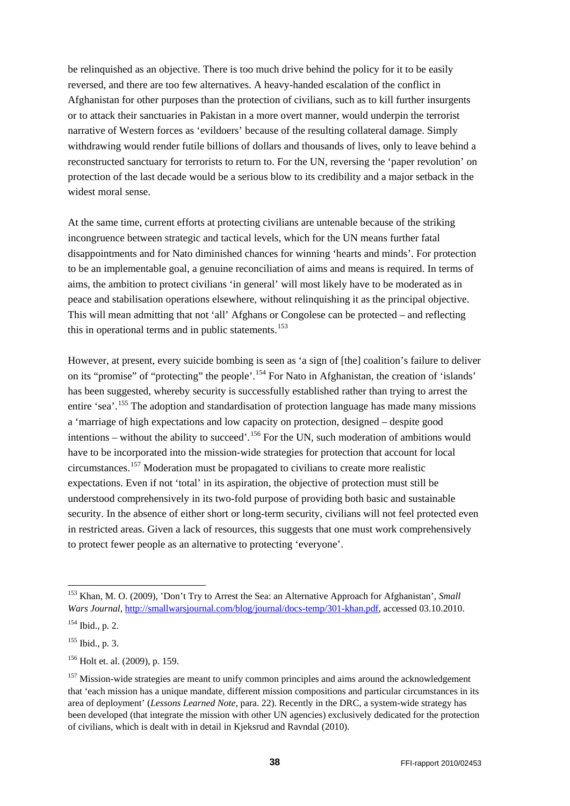be relinquished as an objective. There is too much drive behind the policy for it to be easily reversed, and there are too few alternatives. A heavy-handed escalation of the conflict in Afghanistan for other purposes than the protection of civilians, such as to kill further insurgents or to attack their sanctuaries in Pakistan in a more overt manner, would underpin the terrorist narrative of Western forces as 'evildoers' because of the resulting collateral damage. Simply withdrawing would render futile billions of dollars and thousands of lives, only to leave behind a reconstructed sanctuary for terrorists to return to. For the UN, reversing the 'paper revolution' on protection of the last decade would be a serious blow to its credibility and a major setback in the widest moral sense.

At the same time, current efforts at protecting civilians are untenable because of the striking incongruence between strategic and tactical levels, which for the UN means further fatal disappointments and for Nato diminished chances for winning 'hearts and minds'. For protection to be an implementable goal, a genuine reconciliation of aims and means is required. In terms of aims, the ambition to protect civilians 'in general' will most likely have to be moderated as in peace and stabilisation operations elsewhere, without relinquishing it as the principal objective. This will mean admitting that not 'all' Afghans or Congolese can be protected – and reflecting this in operational terms and in public statements.<sup>[153](#page-37-0)</sup>

However, at present, every suicide bombing is seen as 'a sign of [the] coalition's failure to deliver on its "promise" of "protecting" the people'.[154](#page-37-1) For Nato in Afghanistan, the creation of 'islands' has been suggested, whereby security is successfully established rather than trying to arrest the entire 'sea'.<sup>[155](#page-37-2)</sup> The adoption and standardisation of protection language has made many missions a 'marriage of high expectations and low capacity on protection, designed – despite good intentions – without the ability to succeed'.<sup>[156](#page-37-3)</sup> For the UN, such moderation of ambitions would have to be incorporated into the mission-wide strategies for protection that account for local circumstances.[157](#page-37-4) Moderation must be propagated to civilians to create more realistic expectations. Even if not 'total' in its aspiration, the objective of protection must still be understood comprehensively in its two-fold purpose of providing both basic and sustainable security. In the absence of either short or long-term security, civilians will not feel protected even in restricted areas. Given a lack of resources, this suggests that one must work comprehensively to protect fewer people as an alternative to protecting 'everyone'.

<span id="page-37-0"></span> <sup>153</sup> Khan, M. O. (2009), 'Don't Try to Arrest the Sea: an Alternative Approach for Afghanistan', *Small Wars Journal*, [http://smallwarsjournal.com/blog/journal/docs-temp/301-khan.pdf,](http://smallwarsjournal.com/blog/journal/docs-temp/301-khan.pdf) accessed 03.10.2010.

<span id="page-37-1"></span> $154$  Ibid., p. 2.

<span id="page-37-2"></span> $155$  Ibid., p. 3.

<span id="page-37-3"></span><sup>156</sup> Holt et. al. (2009), p. 159.

<span id="page-37-4"></span><sup>&</sup>lt;sup>157</sup> Mission-wide strategies are meant to unify common principles and aims around the acknowledgement that 'each mission has a unique mandate, different mission compositions and particular circumstances in its area of deployment' (*Lessons Learned Note*, para. 22). Recently in the DRC, a system-wide strategy has been developed (that integrate the mission with other UN agencies) exclusively dedicated for the protection of civilians, which is dealt with in detail in Kjeksrud and Ravndal (2010).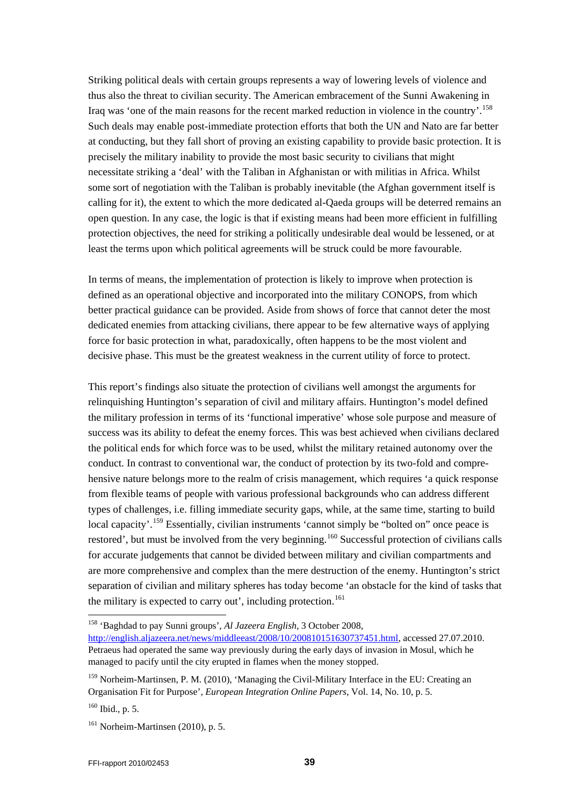Striking political deals with certain groups represents a way of lowering levels of violence and thus also the threat to civilian security. The American embracement of the Sunni Awakening in Iraq was 'one of the main reasons for the recent marked reduction in violence in the country'. [158](#page-38-0) Such deals may enable post-immediate protection efforts that both the UN and Nato are far better at conducting, but they fall short of proving an existing capability to provide basic protection. It is precisely the military inability to provide the most basic security to civilians that might necessitate striking a 'deal' with the Taliban in Afghanistan or with militias in Africa. Whilst some sort of negotiation with the Taliban is probably inevitable (the Afghan government itself is calling for it), the extent to which the more dedicated al-Qaeda groups will be deterred remains an open question. In any case, the logic is that if existing means had been more efficient in fulfilling protection objectives, the need for striking a politically undesirable deal would be lessened, or at least the terms upon which political agreements will be struck could be more favourable.

In terms of means, the implementation of protection is likely to improve when protection is defined as an operational objective and incorporated into the military CONOPS, from which better practical guidance can be provided. Aside from shows of force that cannot deter the most dedicated enemies from attacking civilians, there appear to be few alternative ways of applying force for basic protection in what, paradoxically, often happens to be the most violent and decisive phase. This must be the greatest weakness in the current utility of force to protect.

This report's findings also situate the protection of civilians well amongst the arguments for relinquishing Huntington's separation of civil and military affairs. Huntington's model defined the military profession in terms of its 'functional imperative' whose sole purpose and measure of success was its ability to defeat the enemy forces. This was best achieved when civilians declared the political ends for which force was to be used, whilst the military retained autonomy over the conduct. In contrast to conventional war, the conduct of protection by its two-fold and comprehensive nature belongs more to the realm of crisis management, which requires 'a quick response from flexible teams of people with various professional backgrounds who can address different types of challenges, i.e. filling immediate security gaps, while, at the same time, starting to build local capacity'.<sup>[159](#page-38-1)</sup> Essentially, civilian instruments 'cannot simply be "bolted on" once peace is restored', but must be involved from the very beginning.<sup>[160](#page-38-2)</sup> Successful protection of civilians calls for accurate judgements that cannot be divided between military and civilian compartments and are more comprehensive and complex than the mere destruction of the enemy. Huntington's strict separation of civilian and military spheres has today become 'an obstacle for the kind of tasks that the military is expected to carry out', including protection.<sup>[161](#page-38-3)</sup>

<span id="page-38-0"></span> <sup>158</sup> 'Baghdad to pay Sunni groups', *Al Jazeera English*, 3 October 2008,

[http://english.aljazeera.net/news/middleeast/2008/10/200810151630737451.html,](http://english.aljazeera.net/news/middleeast/2008/10/200810151630737451.html) accessed 27.07.2010. Petraeus had operated the same way previously during the early days of invasion in Mosul, which he managed to pacify until the city erupted in flames when the money stopped.

<span id="page-38-1"></span><sup>&</sup>lt;sup>159</sup> Norheim-Martinsen, P. M. (2010), 'Managing the Civil-Military Interface in the EU: Creating an Organisation Fit for Purpose', *European Integration Online Papers*, Vol. 14, No. 10, p. 5.

<span id="page-38-2"></span><sup>160</sup> Ibid., p. 5.

<span id="page-38-3"></span> $161$  Norheim-Martinsen (2010), p. 5.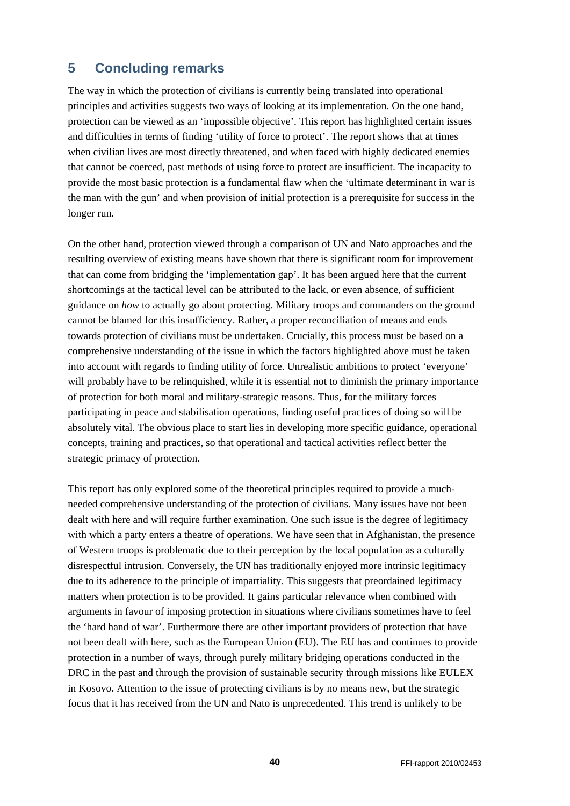## <span id="page-39-0"></span>**5 Concluding remarks**

The way in which the protection of civilians is currently being translated into operational principles and activities suggests two ways of looking at its implementation. On the one hand, protection can be viewed as an 'impossible objective'. This report has highlighted certain issues and difficulties in terms of finding 'utility of force to protect'. The report shows that at times when civilian lives are most directly threatened, and when faced with highly dedicated enemies that cannot be coerced, past methods of using force to protect are insufficient. The incapacity to provide the most basic protection is a fundamental flaw when the 'ultimate determinant in war is the man with the gun' and when provision of initial protection is a prerequisite for success in the longer run.

On the other hand, protection viewed through a comparison of UN and Nato approaches and the resulting overview of existing means have shown that there is significant room for improvement that can come from bridging the 'implementation gap'. It has been argued here that the current shortcomings at the tactical level can be attributed to the lack, or even absence, of sufficient guidance on *how* to actually go about protecting. Military troops and commanders on the ground cannot be blamed for this insufficiency. Rather, a proper reconciliation of means and ends towards protection of civilians must be undertaken. Crucially, this process must be based on a comprehensive understanding of the issue in which the factors highlighted above must be taken into account with regards to finding utility of force. Unrealistic ambitions to protect 'everyone' will probably have to be relinquished, while it is essential not to diminish the primary importance of protection for both moral and military-strategic reasons. Thus, for the military forces participating in peace and stabilisation operations, finding useful practices of doing so will be absolutely vital. The obvious place to start lies in developing more specific guidance, operational concepts, training and practices, so that operational and tactical activities reflect better the strategic primacy of protection.

This report has only explored some of the theoretical principles required to provide a muchneeded comprehensive understanding of the protection of civilians. Many issues have not been dealt with here and will require further examination. One such issue is the degree of legitimacy with which a party enters a theatre of operations. We have seen that in Afghanistan, the presence of Western troops is problematic due to their perception by the local population as a culturally disrespectful intrusion. Conversely, the UN has traditionally enjoyed more intrinsic legitimacy due to its adherence to the principle of impartiality. This suggests that preordained legitimacy matters when protection is to be provided. It gains particular relevance when combined with arguments in favour of imposing protection in situations where civilians sometimes have to feel the 'hard hand of war'. Furthermore there are other important providers of protection that have not been dealt with here, such as the European Union (EU). The EU has and continues to provide protection in a number of ways, through purely military bridging operations conducted in the DRC in the past and through the provision of sustainable security through missions like EULEX in Kosovo. Attention to the issue of protecting civilians is by no means new, but the strategic focus that it has received from the UN and Nato is unprecedented. This trend is unlikely to be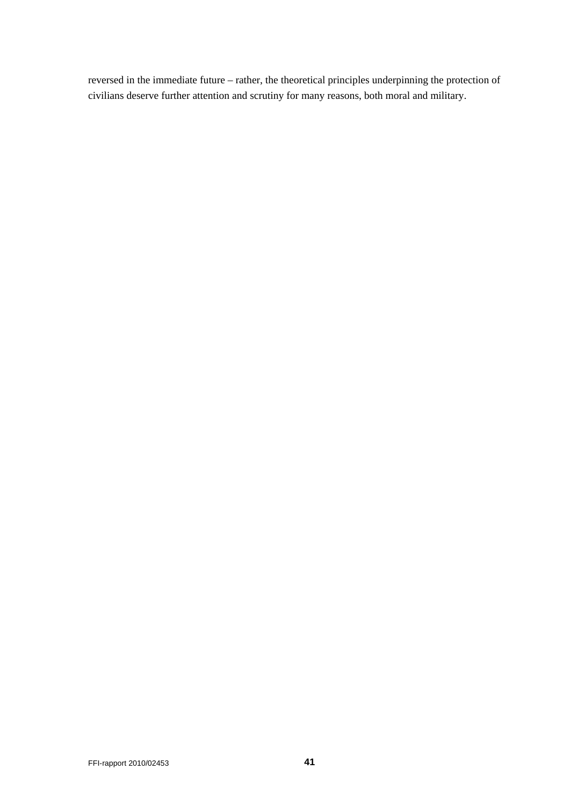reversed in the immediate future – rather, the theoretical principles underpinning the protection of civilians deserve further attention and scrutiny for many reasons, both moral and military.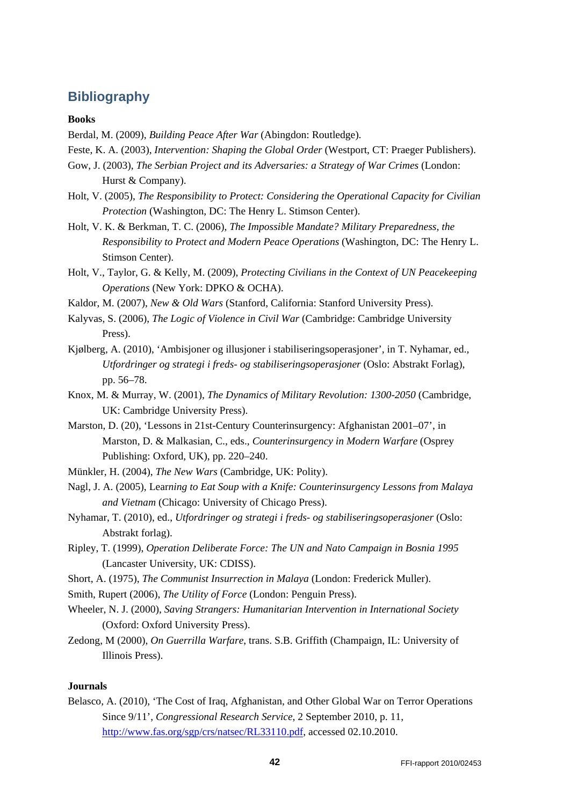## <span id="page-41-0"></span>**Bibliography**

#### **Books**

- Berdal, M. (2009), *Building Peace After War* (Abingdon: Routledge).
- Feste, K. A. (2003), *Intervention: Shaping the Global Order* (Westport, CT: Praeger Publishers).
- Gow, J. (2003), *The Serbian Project and its Adversaries: a Strategy of War Crimes* (London: Hurst & Company).
- Holt, V. (2005), *The Responsibility to Protect: Considering the Operational Capacity for Civilian Protection* (Washington, DC: The Henry L. Stimson Center).
- Holt, V. K. & Berkman, T. C. (2006), *The Impossible Mandate? Military Preparedness, the Responsibility to Protect and Modern Peace Operations* (Washington, DC: The Henry L. Stimson Center).
- Holt, V., Taylor, G. & Kelly, M. (2009), *Protecting Civilians in the Context of UN Peacekeeping Operations* (New York: DPKO & OCHA).
- Kaldor, M. (2007), *New & Old Wars* (Stanford, California: Stanford University Press).
- Kalyvas, S. (2006), *The Logic of Violence in Civil War* (Cambridge: Cambridge University Press).
- Kjølberg, A. (2010), 'Ambisjoner og illusjoner i stabiliseringsoperasjoner', in T. Nyhamar, ed., *Utfordringer og strategi i freds- og stabiliseringsoperasjoner* (Oslo: Abstrakt Forlag), pp. 56–78.
- Knox, M. & Murray, W. (2001), *The Dynamics of Military Revolution: 1300-2050* (Cambridge, UK: Cambridge University Press).
- Marston, D. (20), 'Lessons in 21st-Century Counterinsurgency: Afghanistan 2001–07', in Marston, D. & Malkasian, C., eds., *Counterinsurgency in Modern Warfare* (Osprey Publishing: Oxford, UK), pp. 220–240.
- Münkler, H. (2004), *The New Wars* (Cambridge, UK: Polity).
- Nagl, J. A. (2005), Lear*ning to Eat Soup with a Knife: Counterinsurgency Lessons from Malaya and Vietnam* (Chicago: University of Chicago Press).
- Nyhamar, T. (2010), ed., *Utfordringer og strategi i freds- og stabiliseringsoperasjoner* (Oslo: Abstrakt forlag).
- Ripley, T. (1999), *Operation Deliberate Force: The UN and Nato Campaign in Bosnia 1995* (Lancaster University, UK: CDISS).
- Short, A. (1975), *The Communist Insurrection in Malaya* (London: Frederick Muller).
- Smith, Rupert (2006), *The Utility of Force* (London: Penguin Press).
- Wheeler, N. J. (2000), *Saving Strangers: Humanitarian Intervention in International Society* (Oxford: Oxford University Press).
- Zedong, M (2000), *On Guerrilla Warfare*, trans. S.B. Griffith (Champaign, IL: University of Illinois Press).

#### **Journals**

Belasco, A. (2010), 'The Cost of Iraq, Afghanistan, and Other Global War on Terror Operations Since 9/11', *Congressional Research Service*, 2 September 2010, p. 11, [http://www.fas.org/sgp/crs/natsec/RL33110.pdf,](http://www.fas.org/sgp/crs/natsec/RL33110.pdf) accessed 02.10.2010.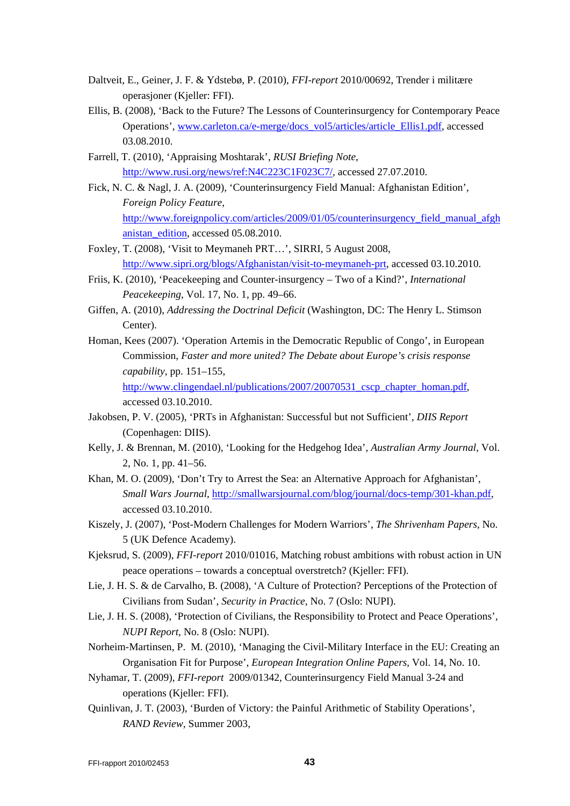- Daltveit, E., Geiner, J. F. & Ydstebø, P. (2010), *FFI-report* 2010/00692, Trender i militære operasjoner (Kjeller: FFI).
- Ellis, B. (2008), 'Back to the Future? The Lessons of Counterinsurgency for Contemporary Peace Operations', [www.carleton.ca/e-merge/docs\\_vol5/articles/article\\_Ellis1.pdf,](http://www.carleton.ca/e-merge/docs_vol5/articles/article_Ellis1.pdf) accessed 03.08.2010.
- Farrell, T. (2010), 'Appraising Moshtarak', *RUSI Briefing Note*, [http://www.rusi.org/news/ref:N4C223C1F023C7/,](http://www.rusi.org/news/ref:N4C223C1F023C7/) accessed 27.07.2010.
- Fick, N. C. & Nagl, J. A. (2009), 'Counterinsurgency Field Manual: Afghanistan Edition', *Foreign Policy Feature*, [http://www.foreignpolicy.com/articles/2009/01/05/counterinsurgency\\_field\\_manual\\_afgh](http://www.foreignpolicy.com/articles/2009/01/05/counterinsurgency_field_manual_afghanistan_edition) [anistan\\_edition,](http://www.foreignpolicy.com/articles/2009/01/05/counterinsurgency_field_manual_afghanistan_edition) accessed 05.08.2010.
- Foxley, T. (2008), 'Visit to Meymaneh PRT…', SIRRI, 5 August 2008, [http://www.sipri.org/blogs/Afghanistan/visit-to-meymaneh-prt,](http://www.sipri.org/blogs/Afghanistan/visit-to-meymaneh-prt) accessed 03.10.2010.
- Friis, K. (2010), 'Peacekeeping and Counter-insurgency Two of a Kind?', *International Peacekeeping*, Vol. 17, No. 1, pp. 49–66.
- Giffen, A. (2010), *Addressing the Doctrinal Deficit* (Washington, DC: The Henry L. Stimson Center).
- Homan, Kees (2007). 'Operation Artemis in the Democratic Republic of Congo', in European Commission, *Faster and more united? The Debate about Europe's crisis response capability*, pp. 151–155, [http://www.clingendael.nl/publications/2007/20070531\\_cscp\\_chapter\\_homan.pdf,](http://www.clingendael.nl/publications/2007/20070531_cscp_chapter_homan.pdf)

accessed 03.10.2010.

- Jakobsen, P. V. (2005), 'PRTs in Afghanistan: Successful but not Sufficient', *DIIS Report* (Copenhagen: DIIS).
- Kelly, J. & Brennan, M. (2010), 'Looking for the Hedgehog Idea', *Australian Army Journal*, Vol. 2, No. 1, pp. 41–56.
- Khan, M. O. (2009), 'Don't Try to Arrest the Sea: an Alternative Approach for Afghanistan', *Small Wars Journal*, [http://smallwarsjournal.com/blog/journal/docs-temp/301-khan.pdf,](http://smallwarsjournal.com/blog/journal/docs-temp/301-khan.pdf) accessed 03.10.2010.
- Kiszely, J. (2007), 'Post-Modern Challenges for Modern Warriors', *The Shrivenham Papers*, No. 5 (UK Defence Academy).
- Kjeksrud, S. (2009), *FFI-report* 2010/01016, Matching robust ambitions with robust action in UN peace operations – towards a conceptual overstretch? (Kjeller: FFI).
- Lie, J. H. S. & de Carvalho, B. (2008), 'A Culture of Protection? Perceptions of the Protection of Civilians from Sudan', *Security in Practice*, No. 7 (Oslo: NUPI).
- Lie, J. H. S. (2008), 'Protection of Civilians, the Responsibility to Protect and Peace Operations', *NUPI Report*, No. 8 (Oslo: NUPI).
- Norheim-Martinsen, P. M. (2010), 'Managing the Civil-Military Interface in the EU: Creating an Organisation Fit for Purpose', *European Integration Online Papers*, Vol. 14, No. 10.
- Nyhamar, T. (2009), *FFI-report* 2009/01342, Counterinsurgency Field Manual 3-24 and operations (Kjeller: FFI).
- Quinlivan, J. T. (2003), 'Burden of Victory: the Painful Arithmetic of Stability Operations', *RAND Review*, Summer 2003,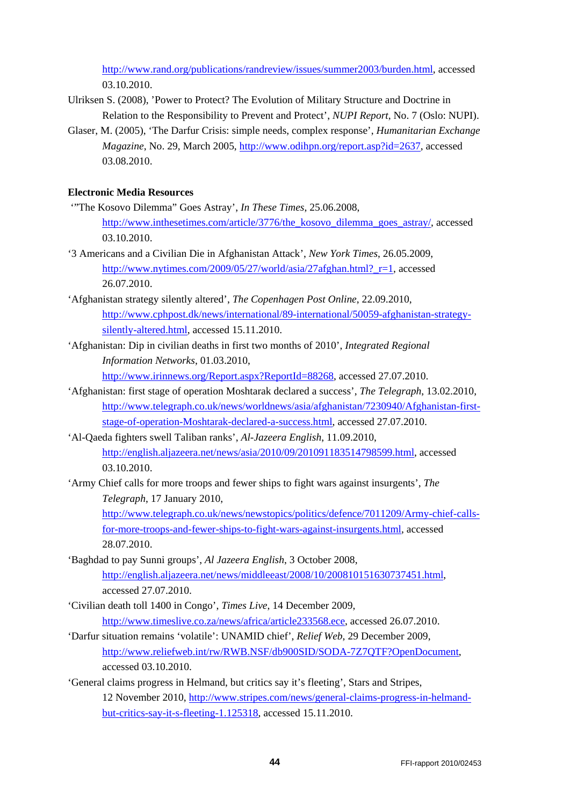[http://www.rand.org/publications/randreview/issues/summer2003/burden.html,](http://www.rand.org/publications/randreview/issues/summer2003/burden.html) accessed 03.10.2010.

- Ulriksen S. (2008), 'Power to Protect? The Evolution of Military Structure and Doctrine in Relation to the Responsibility to Prevent and Protect', *NUPI Report*, No. 7 (Oslo: NUPI).
- Glaser, M. (2005), 'The Darfur Crisis: simple needs, complex response', *Humanitarian Exchange Magazine*, No. 29, March 2005, [http://www.odihpn.org/report.asp?id=2637,](http://www.odihpn.org/report.asp?id=2637) accessed 03.08.2010.

### **Electronic Media Resources**

- '"The Kosovo Dilemma" Goes Astray', *In These Times*, 25.06.2008, [http://www.inthesetimes.com/article/3776/the\\_kosovo\\_dilemma\\_goes\\_astray/,](http://www.inthesetimes.com/article/3776/the_kosovo_dilemma_goes_astray/) accessed 03.10.2010.
- '3 Americans and a Civilian Die in Afghanistan Attack', *New York Times*, 26.05.2009, http://www.nytimes.com/2009/05/27/world/asia/27afghan.html? r=1, accessed 26.07.2010.
- 'Afghanistan strategy silently altered', *The Copenhagen Post Online*, 22.09.2010, [http://www.cphpost.dk/news/international/89-international/50059-afghanistan-strategy](http://www.cphpost.dk/news/international/89-international/50059-afghanistan-strategy-silently-altered.html)[silently-altered.html,](http://www.cphpost.dk/news/international/89-international/50059-afghanistan-strategy-silently-altered.html) accessed 15.11.2010.
- 'Afghanistan: Dip in civilian deaths in first two months of 2010', *Integrated Regional Information Networks*, 01.03.2010,

[http://www.irinnews.org/Report.aspx?ReportId=88268,](http://www.irinnews.org/Report.aspx?ReportId=88268) accessed 27.07.2010.

- 'Afghanistan: first stage of operation Moshtarak declared a success', *The Telegraph*, 13.02.2010, [http://www.telegraph.co.uk/news/worldnews/asia/afghanistan/7230940/Afghanistan-first](http://www.telegraph.co.uk/news/worldnews/asia/afghanistan/7230940/Afghanistan-first-stage-of-operation-Moshtarak-declared-a-success.html)[stage-of-operation-Moshtarak-declared-a-success.html,](http://www.telegraph.co.uk/news/worldnews/asia/afghanistan/7230940/Afghanistan-first-stage-of-operation-Moshtarak-declared-a-success.html) accessed 27.07.2010.
- 'Al-Qaeda fighters swell Taliban ranks', *Al-Jazeera English*, 11.09.2010, [http://english.aljazeera.net/news/asia/2010/09/201091183514798599.html,](http://english.aljazeera.net/news/asia/2010/09/201091183514798599.html) accessed 03.10.2010.
- 'Army Chief calls for more troops and fewer ships to fight wars against insurgents', *The Telegraph*, 17 January 2010,

[http://www.telegraph.co.uk/news/newstopics/politics/defence/7011209/Army-chief-calls](http://www.telegraph.co.uk/news/newstopics/politics/defence/7011209/Army-chief-calls-for-more-troops-and-fewer-ships-to-fight-wars-against-insurgents.html)[for-more-troops-and-fewer-ships-to-fight-wars-against-insurgents.html,](http://www.telegraph.co.uk/news/newstopics/politics/defence/7011209/Army-chief-calls-for-more-troops-and-fewer-ships-to-fight-wars-against-insurgents.html) accessed 28.07.2010.

- 'Baghdad to pay Sunni groups', *Al Jazeera English*, 3 October 2008, [http://english.aljazeera.net/news/middleeast/2008/10/200810151630737451.html,](http://english.aljazeera.net/news/middleeast/2008/10/200810151630737451.html) accessed 27.07.2010.
- 'Civilian death toll 1400 in Congo', *Times Live*, 14 December 2009, [http://www.timeslive.co.za/news/africa/article233568.ece,](http://www.timeslive.co.za/news/africa/article233568.ece) accessed 26.07.2010.
- 'Darfur situation remains 'volatile': UNAMID chief', *Relief Web*, 29 December 2009, [http://www.reliefweb.int/rw/RWB.NSF/db900SID/SODA-7Z7QTF?OpenDocument,](http://www.reliefweb.int/rw/RWB.NSF/db900SID/SODA-7Z7QTF?OpenDocument) accessed 03.10.2010.
- 'General claims progress in Helmand, but critics say it's fleeting', Stars and Stripes, 12 November 2010, [http://www.stripes.com/news/general-claims-progress-in-helmand](http://www.stripes.com/news/general-claims-progress-in-helmand-but-critics-say-it-s-fleeting-1.125318)[but-critics-say-it-s-fleeting-1.125318,](http://www.stripes.com/news/general-claims-progress-in-helmand-but-critics-say-it-s-fleeting-1.125318) accessed 15.11.2010.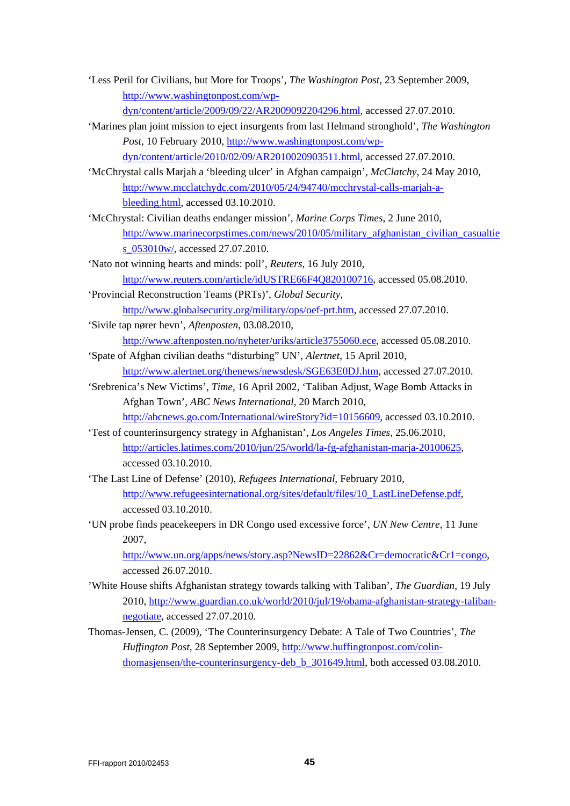- 'Less Peril for Civilians, but More for Troops', *The Washington Post*, 23 September 2009, [http://www.washingtonpost.com/wp](http://www.washingtonpost.com/wp-dyn/content/article/2009/09/22/AR2009092204296.html)[dyn/content/article/2009/09/22/AR2009092204296.html,](http://www.washingtonpost.com/wp-dyn/content/article/2009/09/22/AR2009092204296.html) accessed 27.07.2010.
- 'Marines plan joint mission to eject insurgents from last Helmand stronghold', *The Washington Post*, 10 February 2010, [http://www.washingtonpost.com/wp](http://www.washingtonpost.com/wp-dyn/content/article/2010/02/09/AR2010020903511.html)[dyn/content/article/2010/02/09/AR2010020903511.html,](http://www.washingtonpost.com/wp-dyn/content/article/2010/02/09/AR2010020903511.html) accessed 27.07.2010.
- 'McChrystal calls Marjah a 'bleeding ulcer' in Afghan campaign', *McClatchy*, 24 May 2010, [http://www.mcclatchydc.com/2010/05/24/94740/mcchrystal-calls-marjah-a](http://www.mcclatchydc.com/2010/05/24/94740/mcchrystal-calls-marjah-a-bleeding.html)[bleeding.html,](http://www.mcclatchydc.com/2010/05/24/94740/mcchrystal-calls-marjah-a-bleeding.html) accessed 03.10.2010.
- 'McChrystal: Civilian deaths endanger mission', *Marine Corps Times*, 2 June 2010, [http://www.marinecorpstimes.com/news/2010/05/military\\_afghanistan\\_civilian\\_casualtie](http://www.marinecorpstimes.com/news/2010/05/military_afghanistan_civilian_casualties_053010w/) s<sub>053010w</sub>/, accessed 27.07.2010.
- 'Nato not winning hearts and minds: poll', *Reuters*, 16 July 2010, [http://www.reuters.com/article/idUSTRE66F4Q820100716,](http://www.reuters.com/article/idUSTRE66F4Q820100716) accessed 05.08.2010.
- 'Provincial Reconstruction Teams (PRTs)', *Global Security*, [http://www.globalsecurity.org/military/ops/oef-prt.htm,](http://www.globalsecurity.org/military/ops/oef-prt.htm) accessed 27.07.2010.
- 'Sivile tap nører hevn', *Aftenposten*, 03.08.2010, [http://www.aftenposten.no/nyheter/uriks/article3755060.ece,](http://www.aftenposten.no/nyheter/uriks/article3755060.ece) accessed 05.08.2010.
- 'Spate of Afghan civilian deaths "disturbing" UN', *Alertnet*, 15 April 2010, [http://www.alertnet.org/thenews/newsdesk/SGE63E0DJ.htm,](http://www.alertnet.org/thenews/newsdesk/SGE63E0DJ.htm) accessed 27.07.2010.
- 'Srebrenica's New Victims', *Time*, 16 April 2002, 'Taliban Adjust, Wage Bomb Attacks in Afghan Town', *ABC News International*, 20 March 2010,

[http://abcnews.go.com/International/wireStory?id=10156609,](http://abcnews.go.com/International/wireStory?id=10156609) accessed 03.10.2010.

- 'Test of counterinsurgency strategy in Afghanistan', *Los Angeles Times*, 25.06.2010, [http://articles.latimes.com/2010/jun/25/world/la-fg-afghanistan-marja-20100625,](http://articles.latimes.com/2010/jun/25/world/la-fg-afghanistan-marja-20100625) accessed 03.10.2010.
- 'The Last Line of Defense' (2010), *Refugees International*, February 2010, [http://www.refugeesinternational.org/sites/default/files/10\\_LastLineDefense.pdf,](http://www.refugeesinternational.org/sites/default/files/10_LastLineDefense.pdf) accessed 03.10.2010.
- 'UN probe finds peacekeepers in DR Congo used excessive force', *UN New Centre*, 11 June 2007,

[http://www.un.org/apps/news/story.asp?NewsID=22862&Cr=democratic&Cr1=congo,](http://www.un.org/apps/news/story.asp?NewsID=22862&Cr=democratic&Cr1=congo) accessed 26.07.2010.

- 'White House shifts Afghanistan strategy towards talking with Taliban', *The Guardian*, 19 July 2010, [http://www.guardian.co.uk/world/2010/jul/19/obama-afghanistan-strategy-taliban](http://www.guardian.co.uk/world/2010/jul/19/obama-afghanistan-strategy-taliban-negotiate)[negotiate,](http://www.guardian.co.uk/world/2010/jul/19/obama-afghanistan-strategy-taliban-negotiate) accessed 27.07.2010.
- Thomas-Jensen, C. (2009), 'The Counterinsurgency Debate: A Tale of Two Countries', *The Huffington Post*, 28 September 2009, [http://www.huffingtonpost.com/colin](http://www.huffingtonpost.com/colin-thomasjensen/the-counterinsurgency-deb_b_301649.html)[thomasjensen/the-counterinsurgency-deb\\_b\\_301649.html,](http://www.huffingtonpost.com/colin-thomasjensen/the-counterinsurgency-deb_b_301649.html) both accessed 03.08.2010.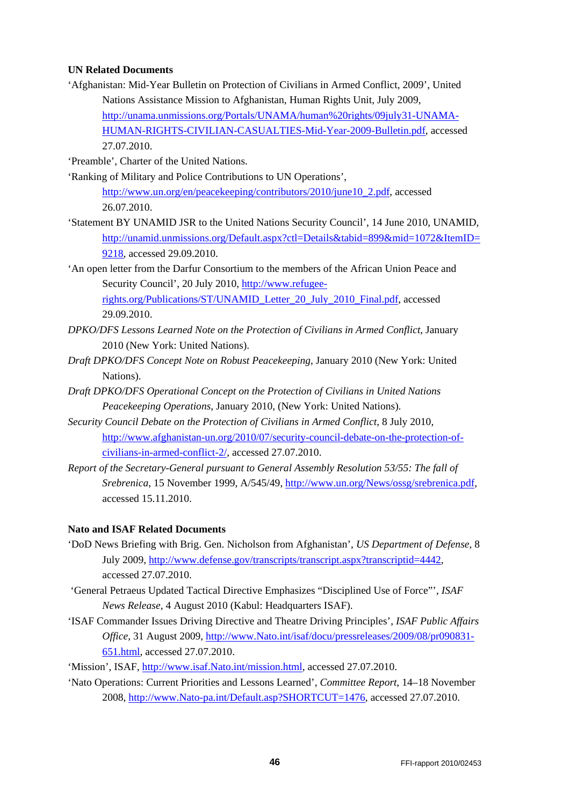#### **UN Related Documents**

'Afghanistan: Mid-Year Bulletin on Protection of Civilians in Armed Conflict, 2009', United Nations Assistance Mission to Afghanistan, Human Rights Unit, July 2009, [http://unama.unmissions.org/Portals/UNAMA/human%20rights/09july31-UNAMA-](http://unama.unmissions.org/Portals/UNAMA/human%20rights/09july31-UNAMA-HUMAN-RIGHTS-CIVILIAN-CASUALTIES-Mid-Year-2009-Bulletin.pdf)[HUMAN-RIGHTS-CIVILIAN-CASUALTIES-Mid-Year-2009-Bulletin.pdf,](http://unama.unmissions.org/Portals/UNAMA/human%20rights/09july31-UNAMA-HUMAN-RIGHTS-CIVILIAN-CASUALTIES-Mid-Year-2009-Bulletin.pdf) accessed 27.07.2010.

'Preamble', Charter of the United Nations.

- 'Ranking of Military and Police Contributions to UN Operations', [http://www.un.org/en/peacekeeping/contributors/2010/june10\\_2.pdf,](http://www.un.org/en/peacekeeping/contributors/2010/june10_2.pdf) accessed 26.07.2010.
- 'Statement BY UNAMID JSR to the United Nations Security Council', 14 June 2010, UNAMID, [http://unamid.unmissions.org/Default.aspx?ctl=Details&tabid=899&mid=1072&ItemID=](http://unamid.unmissions.org/Default.aspx?ctl=Details&tabid=899&mid=1072&ItemID=9218) [9218,](http://unamid.unmissions.org/Default.aspx?ctl=Details&tabid=899&mid=1072&ItemID=9218) accessed 29.09.2010.

'An open letter from the Darfur Consortium to the members of the African Union Peace and Security Council', 20 July 2010, [http://www.refugee](http://www.refugee-rights.org/Publications/ST/UNAMID_Letter_20_July_2010_Final.pdf)[rights.org/Publications/ST/UNAMID\\_Letter\\_20\\_July\\_2010\\_Final.pdf,](http://www.refugee-rights.org/Publications/ST/UNAMID_Letter_20_July_2010_Final.pdf) accessed

- 29.09.2010.
- *DPKO/DFS Lessons Learned Note on the Protection of Civilians in Armed Conflict*, January 2010 (New York: United Nations).
- *Draft DPKO/DFS Concept Note on Robust Peacekeeping*, January 2010 (New York: United Nations).
- *Draft DPKO/DFS Operational Concept on the Protection of Civilians in United Nations Peacekeeping Operations*, January 2010, (New York: United Nations).
- *Security Council Debate on the Protection of Civilians in Armed Conflict*, 8 July 2010, [http://www.afghanistan-un.org/2010/07/security-council-debate-on-the-protection-of](http://www.afghanistan-un.org/2010/07/security-council-debate-on-the-protection-of-civilians-in-armed-conflict-2/)[civilians-in-armed-conflict-2/,](http://www.afghanistan-un.org/2010/07/security-council-debate-on-the-protection-of-civilians-in-armed-conflict-2/) accessed 27.07.2010.
- *Report of the Secretary-General pursuant to General Assembly Resolution 53/55: The fall of Srebrenica*, 15 November 1999, A/545/49, [http://www.un.org/News/ossg/srebrenica.pdf,](http://www.un.org/News/ossg/srebrenica.pdf) accessed 15.11.2010.

#### **Nato and ISAF Related Documents**

- 'DoD News Briefing with Brig. Gen. Nicholson from Afghanistan', *US Department of Defense*, 8 July 2009, [http://www.defense.gov/transcripts/transcript.aspx?transcriptid=4442,](http://www.defense.gov/transcripts/transcript.aspx?transcriptid=4442) accessed 27.07.2010.
- 'General Petraeus Updated Tactical Directive Emphasizes "Disciplined Use of Force"', *ISAF News Release*, 4 August 2010 (Kabul: Headquarters ISAF).
- 'ISAF Commander Issues Driving Directive and Theatre Driving Principles', *ISAF Public Affairs Office*, 31 August 2009, [http://www.Nato.int/isaf/docu/pressreleases/2009/08/pr090831-](http://www.nato.int/isaf/docu/pressreleases/2009/08/pr090831-651.html) [651.html,](http://www.nato.int/isaf/docu/pressreleases/2009/08/pr090831-651.html) accessed 27.07.2010.

'Mission', ISAF, [http://www.isaf.Nato.int/mission.html,](http://www.isaf.nato.int/mission.html) accessed 27.07.2010.

'Nato Operations: Current Priorities and Lessons Learned', *Committee Report*, 14–18 November 2008, [http://www.Nato-pa.int/Default.asp?SHORTCUT=1476,](http://www.nato-pa.int/Default.asp?SHORTCUT=1476) accessed 27.07.2010.